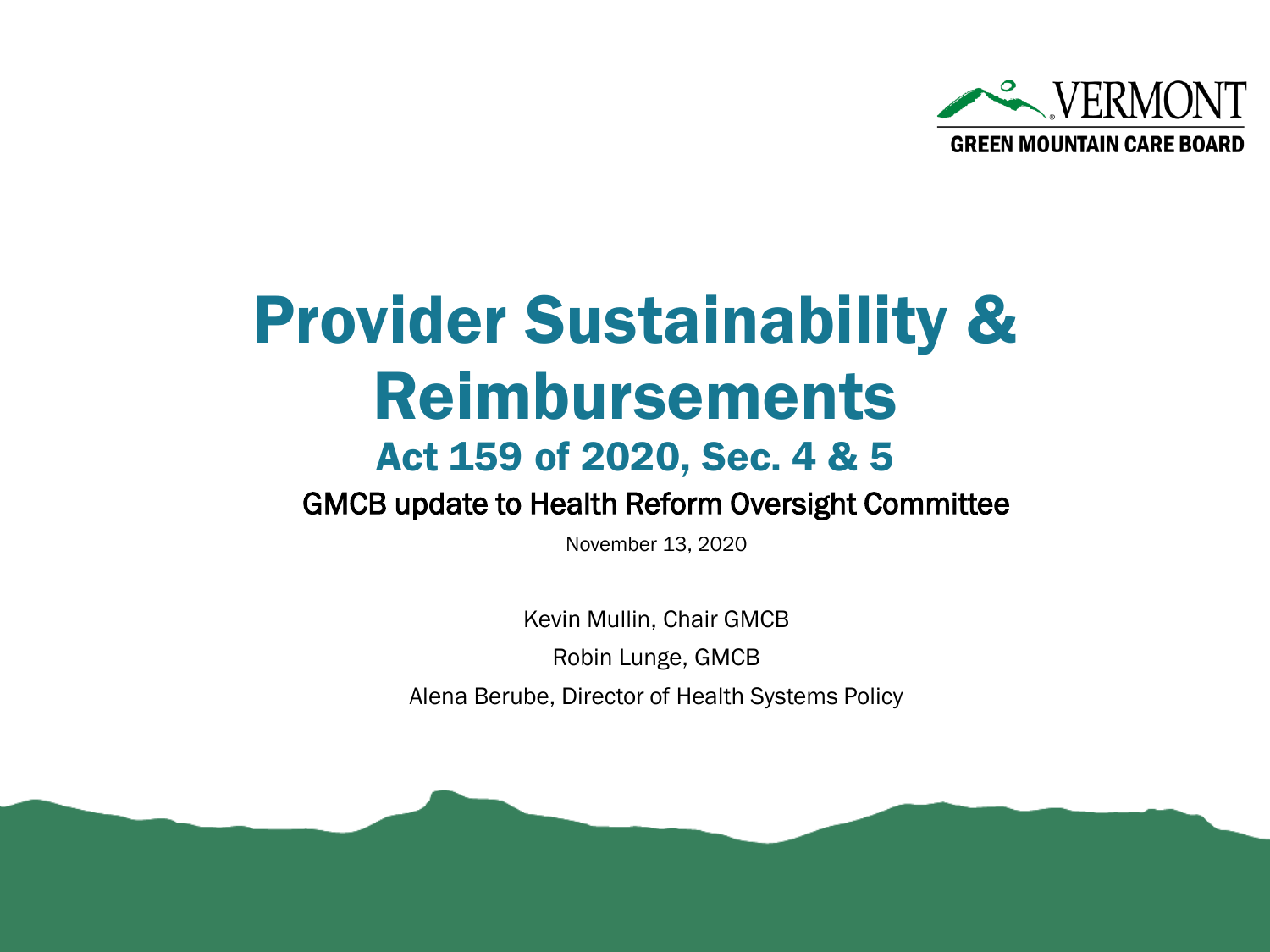

### Provider Sustainability & Reimbursements

#### Act 159 of 2020, Sec. 4 & 5

GMCB update to Health Reform Oversight Committee

November 13, 2020

Kevin Mullin, Chair GMCB Robin Lunge, GMCB Alena Berube, Director of Health Systems Policy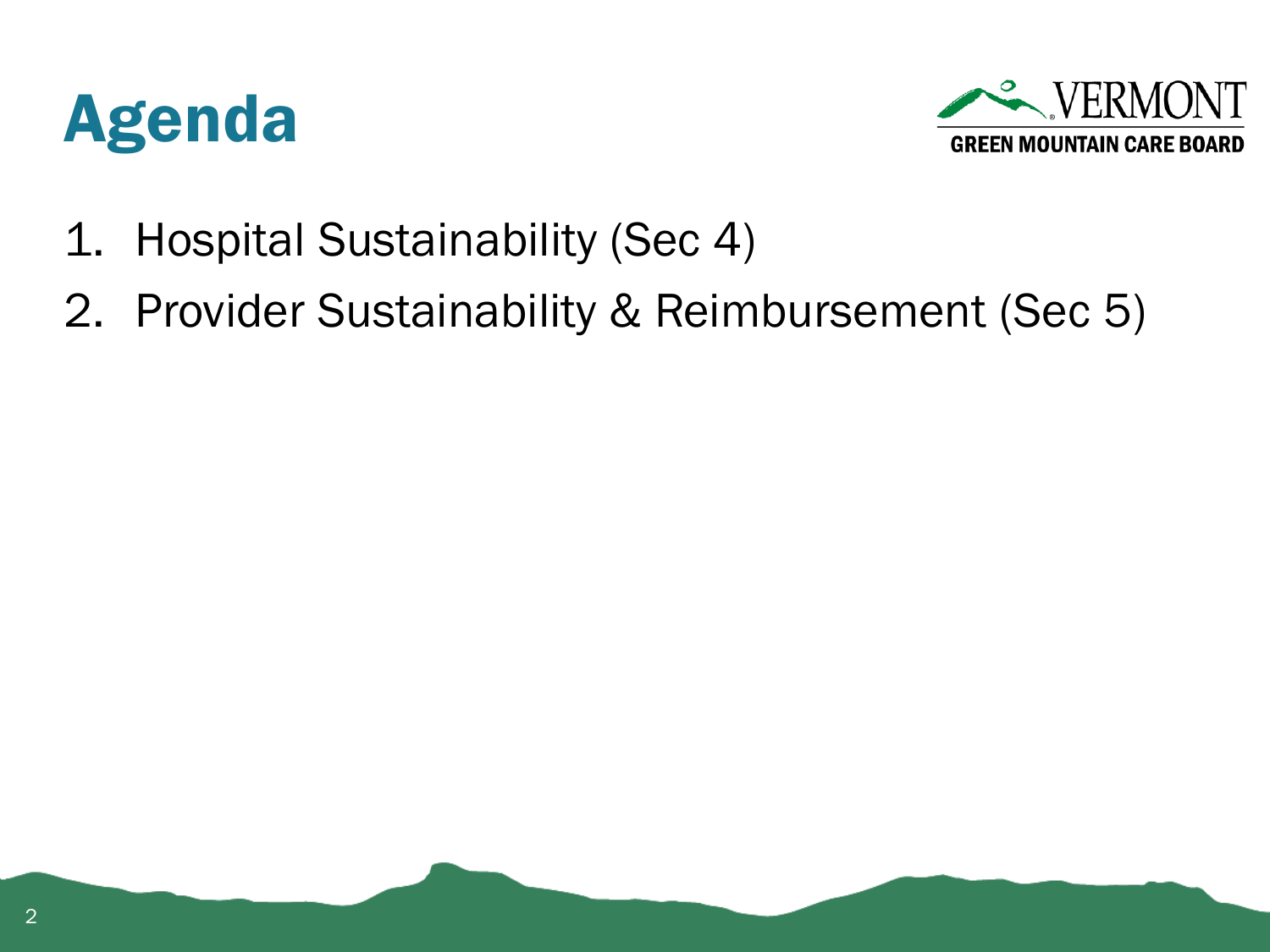



- 1. Hospital Sustainability (Sec 4)
- 2. Provider Sustainability & Reimbursement (Sec 5)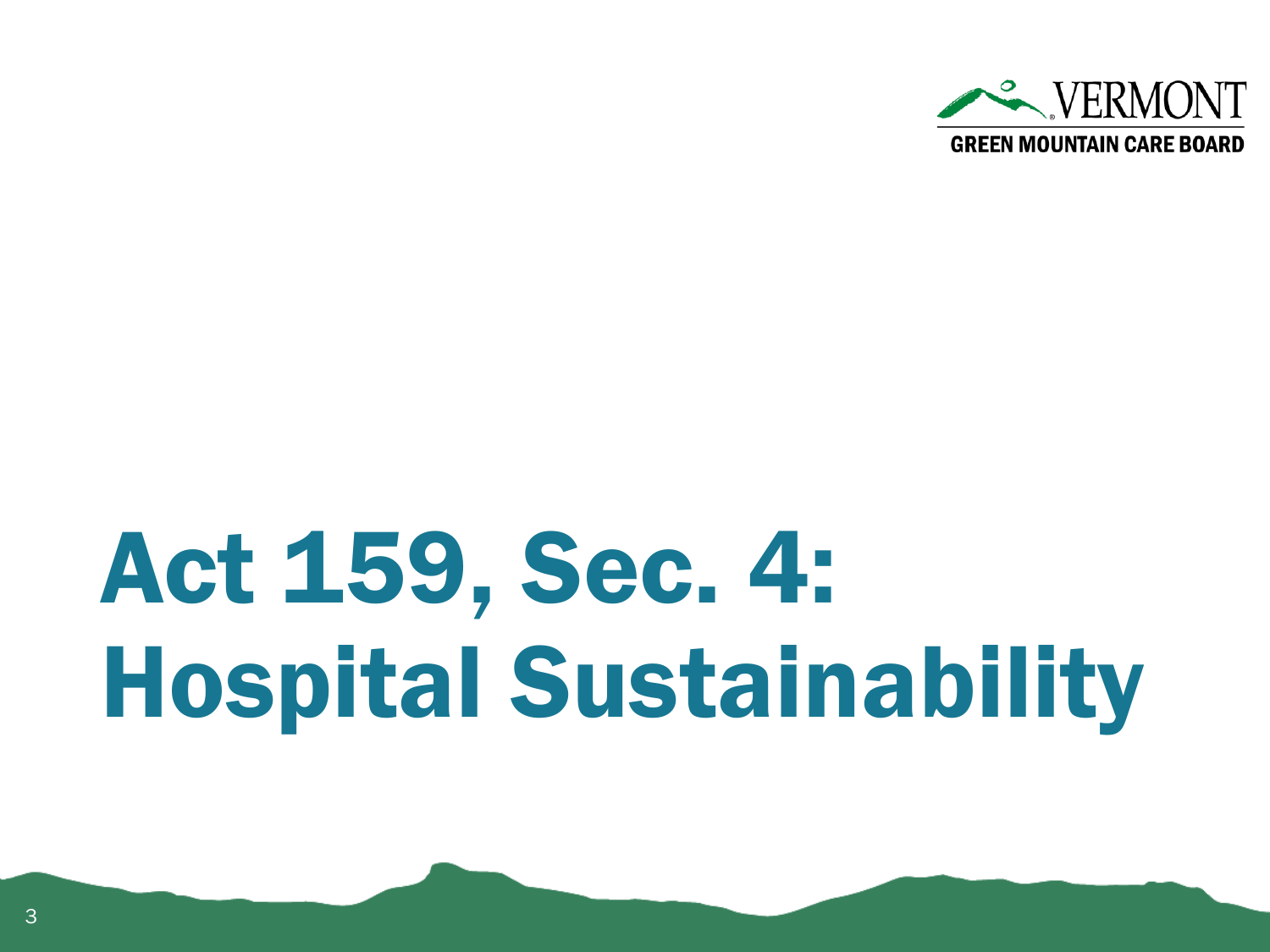

## Act 159, Sec. 4: Hospital Sustainability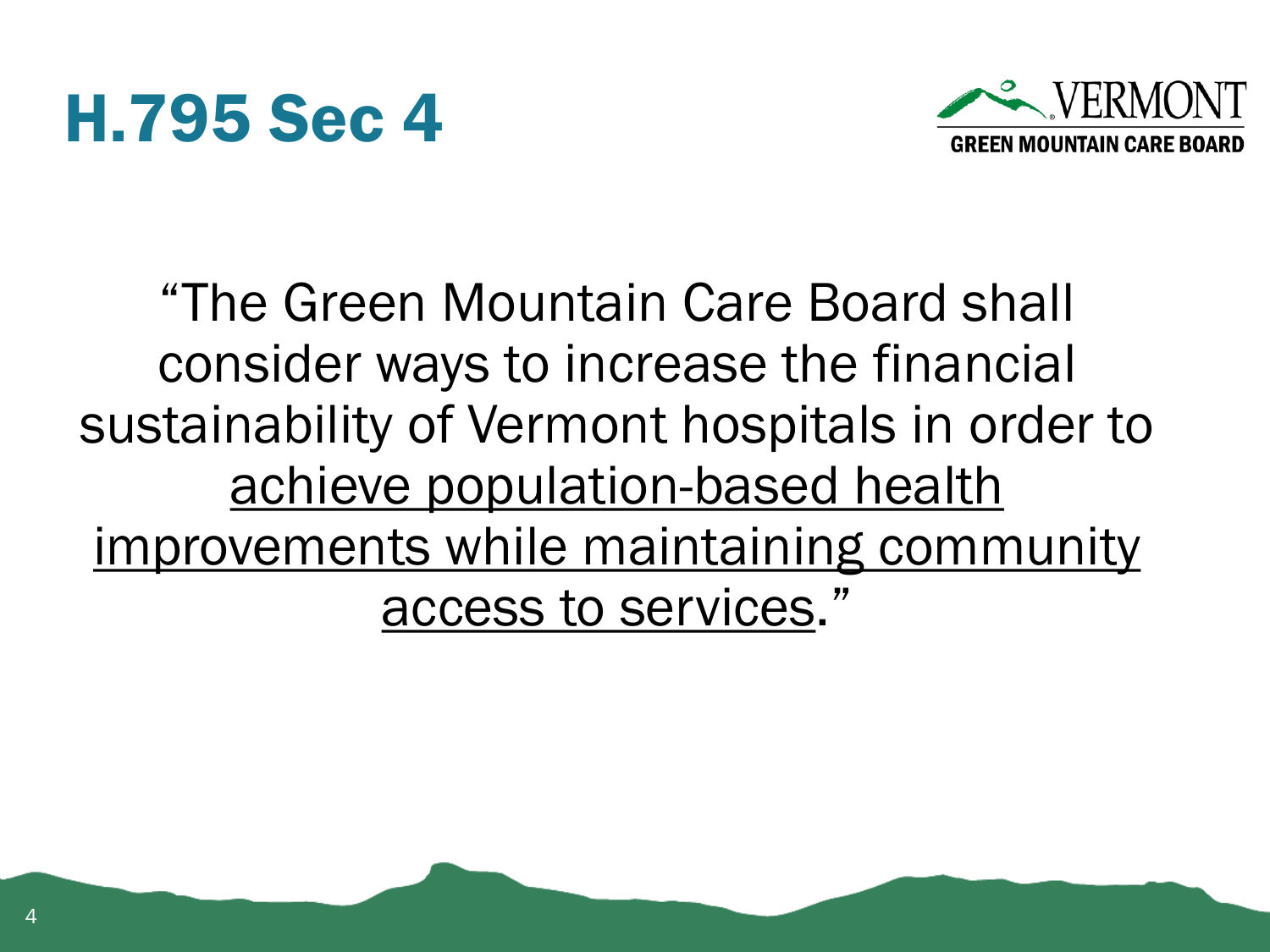



"The Green Mountain Care Board shall consider ways to increase the financial sustainability of Vermont hospitals in order to achieve population-based health improvements while maintaining community access to services."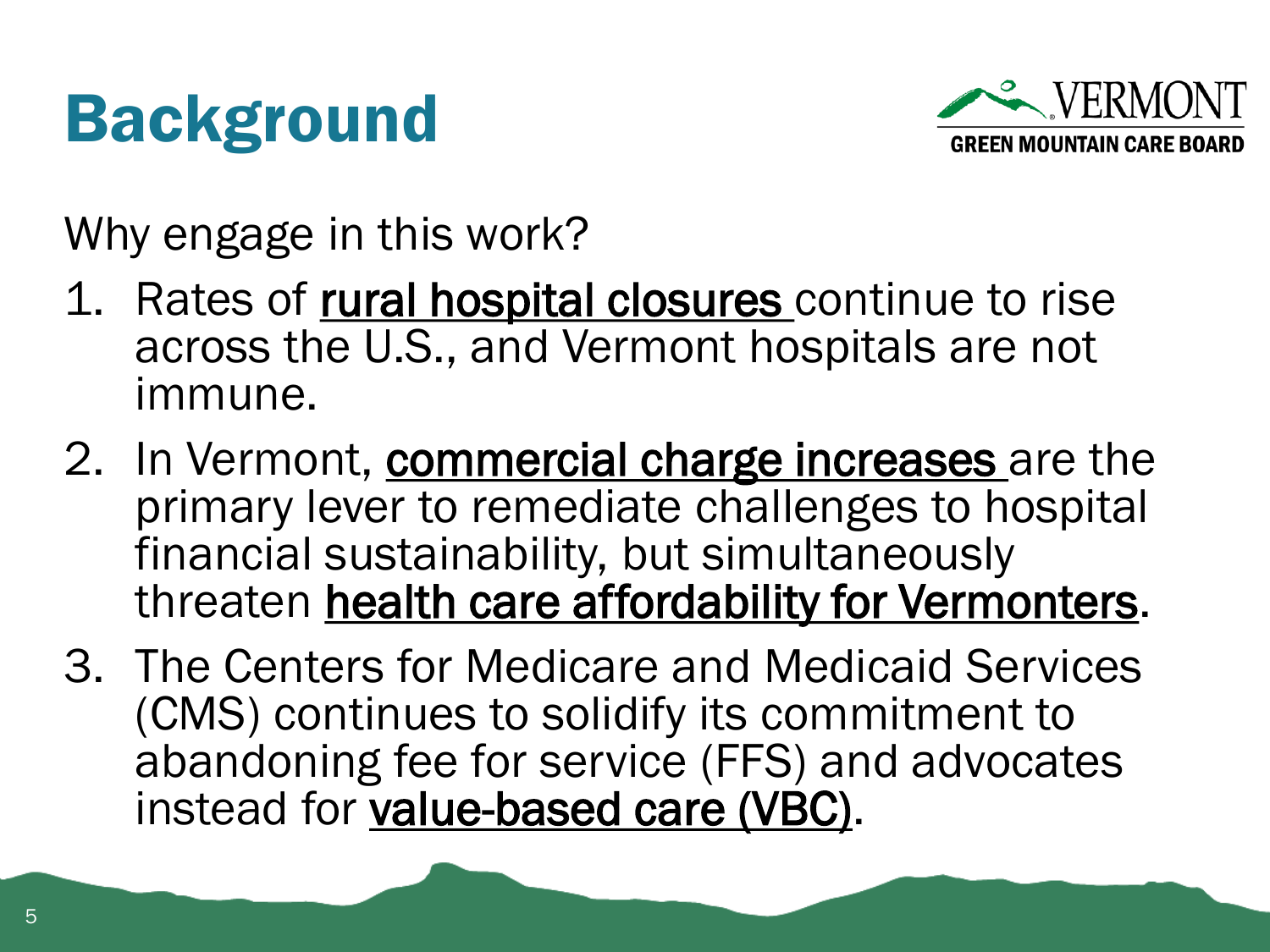#### Background



Why engage in this work?

- 1. Rates of rural hospital closures continue to rise across the U.S., and Vermont hospitals are not immune.
- 2. In Vermont, commercial charge increases are the primary lever to remediate challenges to hospital financial sustainability, but simultaneously threaten health care affordability for Vermonters.
- 3. The Centers for Medicare and Medicaid Services (CMS) continues to solidify its commitment to abandoning fee for service (FFS) and advocates instead for value-based care (VBC).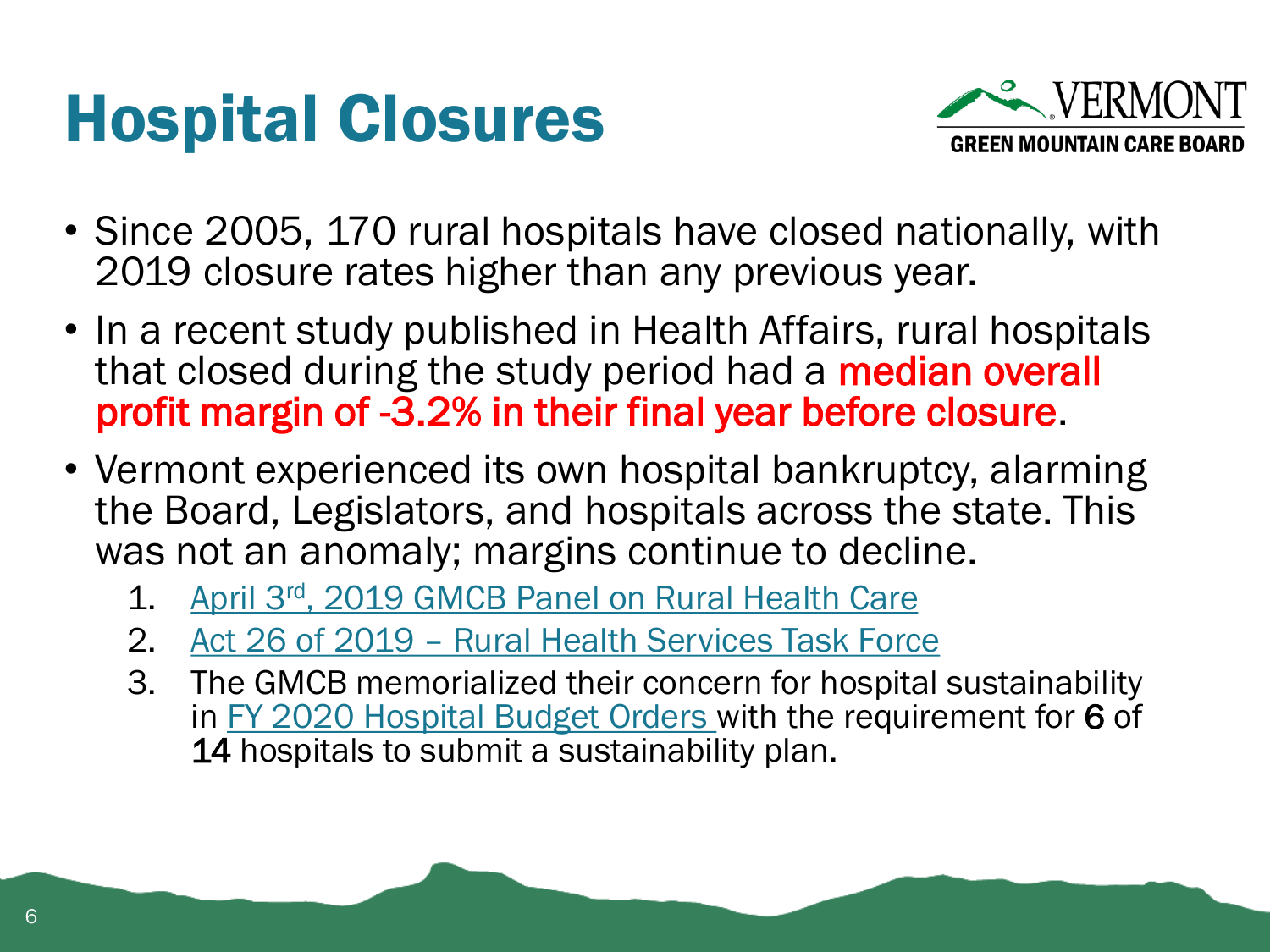#### Hospital Closures



- Since 2005, 170 rural hospitals have closed nationally, with 2019 closure rates higher than any previous year.
- In a recent study published in Health Affairs, rural hospitals that closed during the study period had a median overall profit margin of -3.2% in their final year before closure.
- Vermont experienced its own hospital bankruptcy, alarming the Board, Legislators, and hospitals across the state. This was not an anomaly; margins continue to decline.
	- 1. April 3rd[, 2019 GMCB Panel on Rural Health Care](https://gmcboard.vermont.gov/board/meeting/minutes/2019)
	- 2. Act 26 of 2019 [Rural Health Services Task Force](https://gmcboard.vermont.gov/content/rural-health-services-task-force)
	- 3. The GMCB memorialized their concern for hospital sustainability in [FY 2020 Hospital Budget Orders](https://gmcboard.vermont.gov/hospital-budget) with the requirement for 6 of 14 hospitals to submit a sustainability plan.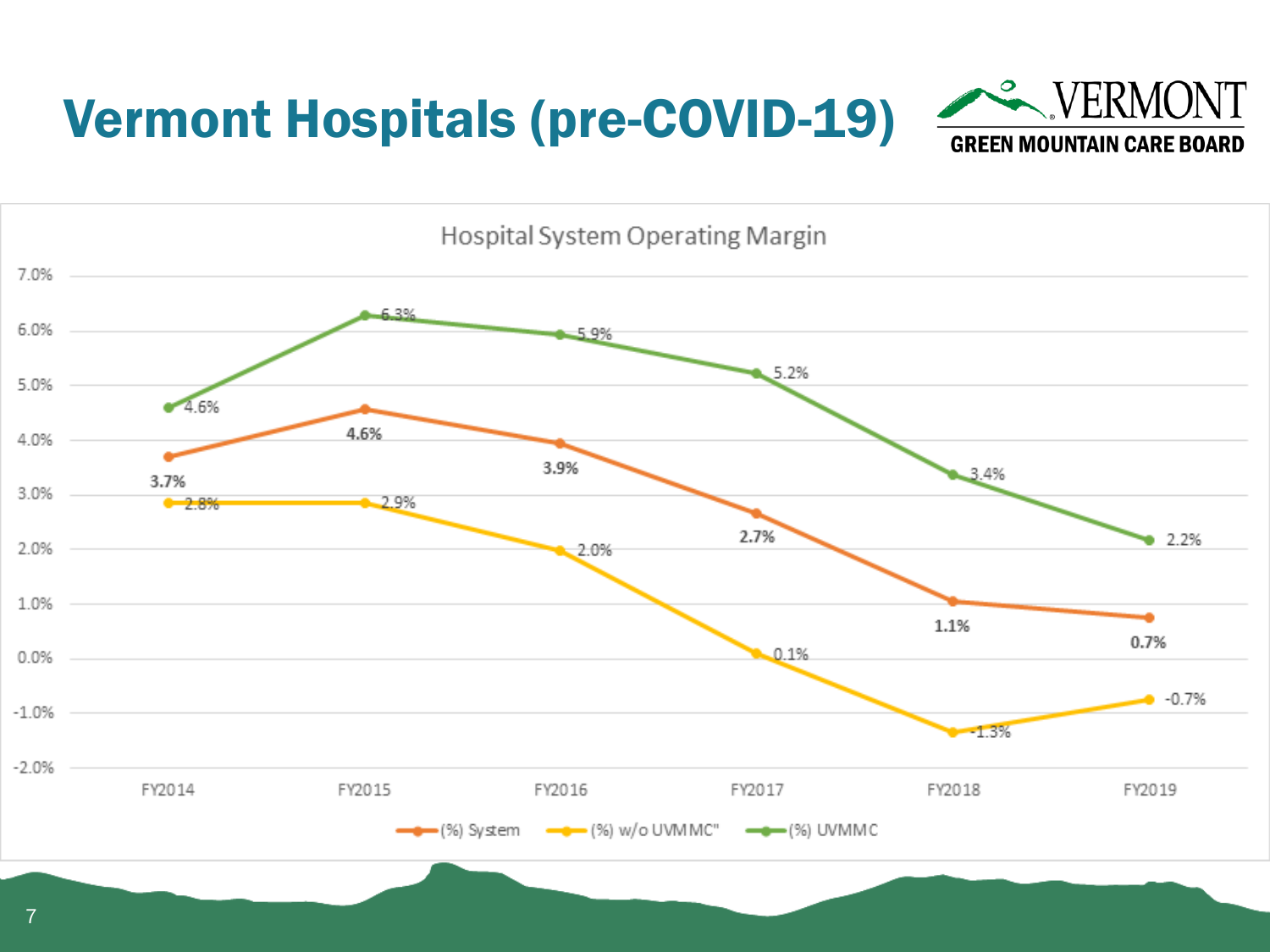#### Vermont Hospitals (pre-COVID-19)



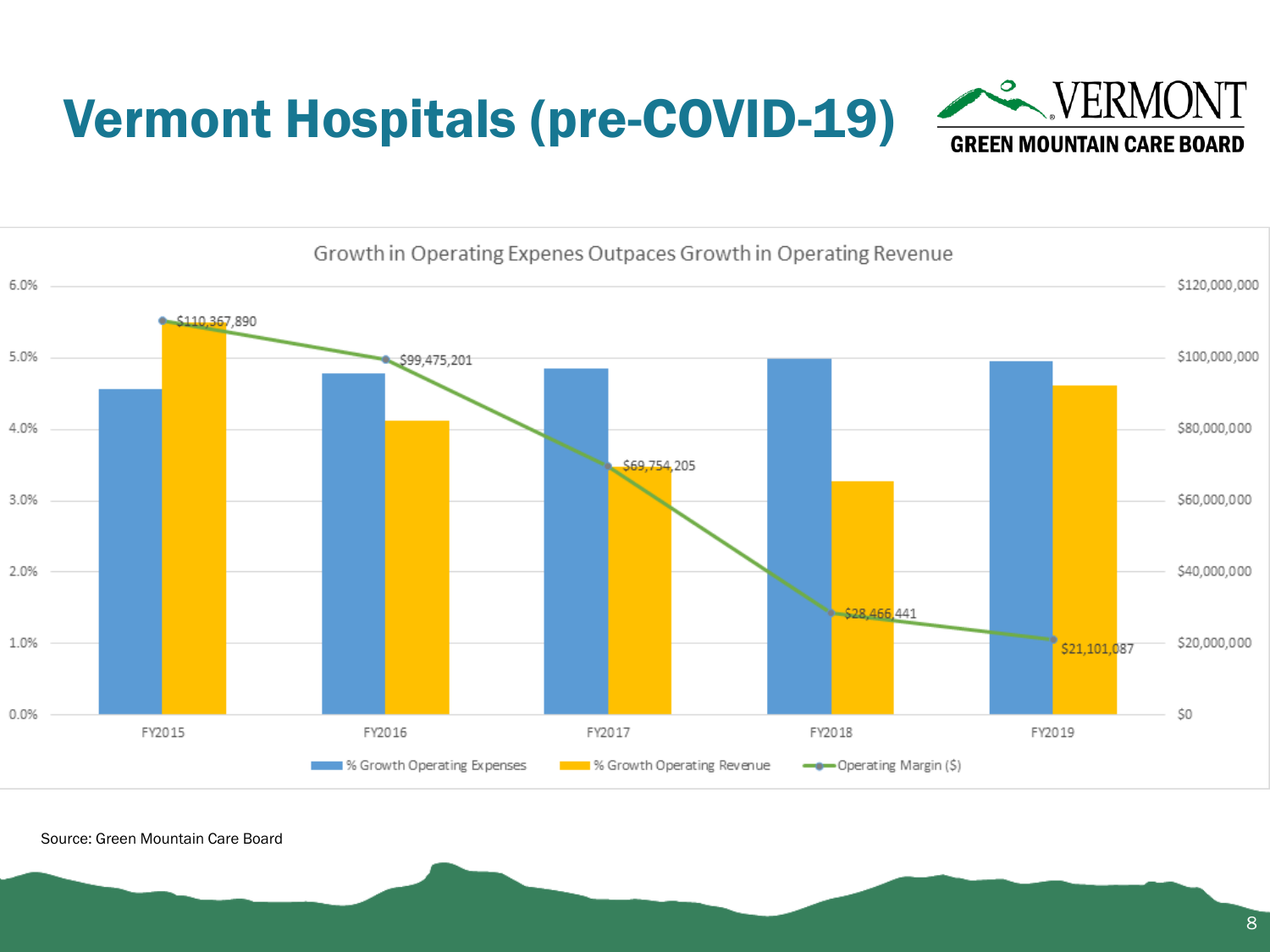



Source: Green Mountain Care Board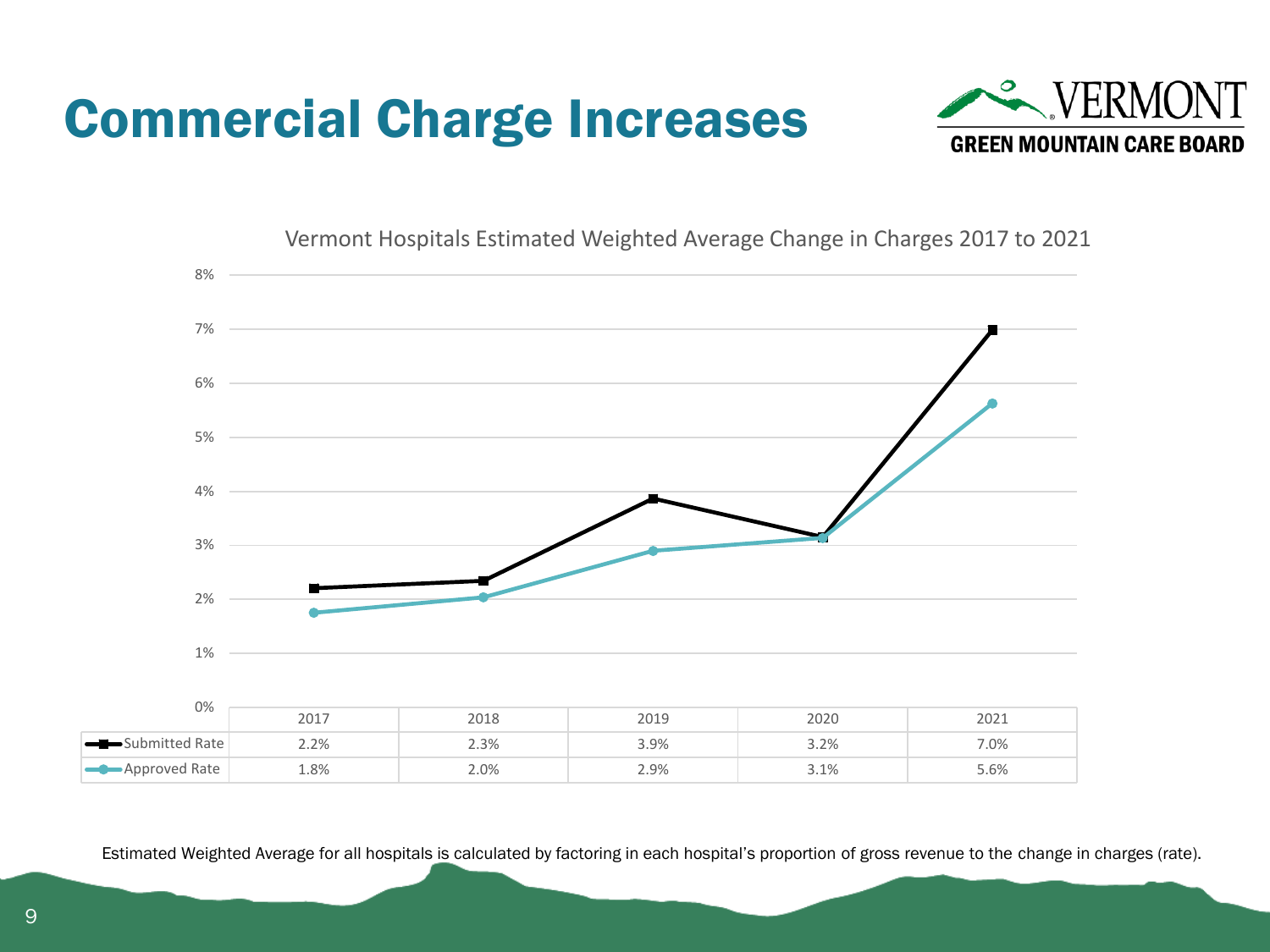





Vermont Hospitals Estimated Weighted Average Change in Charges 2017 to 2021

Estimated Weighted Average for all hospitals is calculated by factoring in each hospital's proportion of gross revenue to the change in charges (rate).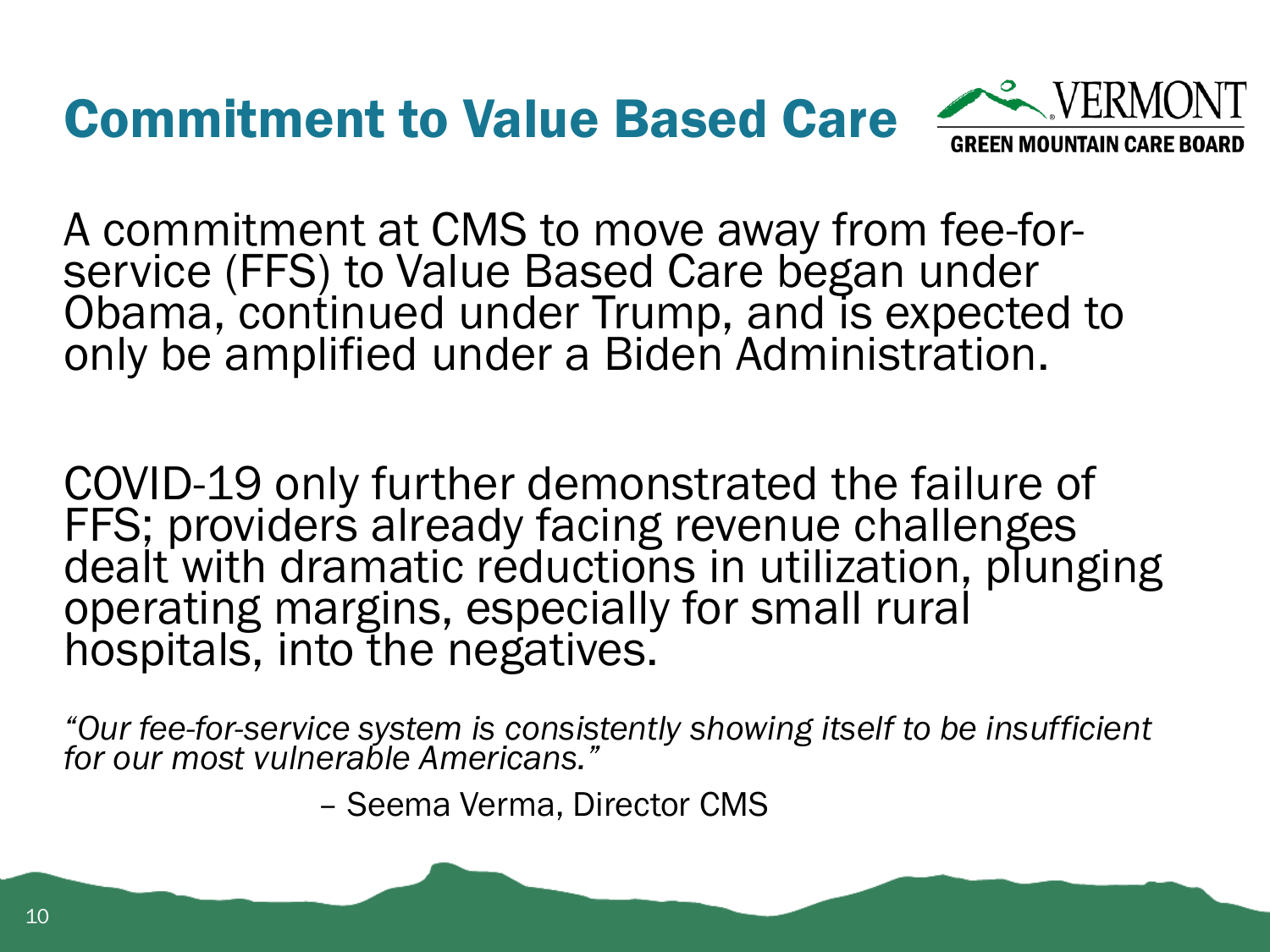

A commitment at CMS to move away from fee-forservice (FFS) to Value Based Care began under Obama, continued under Trump, and is expected to only be amplified under a Biden Administration.

COVID-19 only further demonstrated the failure of FFS; providers already facing revenue challenges dealt with dramatic reductions in utilization, plunging operating margins, especially for small rural hospitals, into the negatives.

*"Our fee-for-service system is consistently showing itself to be insufficient for our most vulnerable Americans."*

– Seema Verma, Director CMS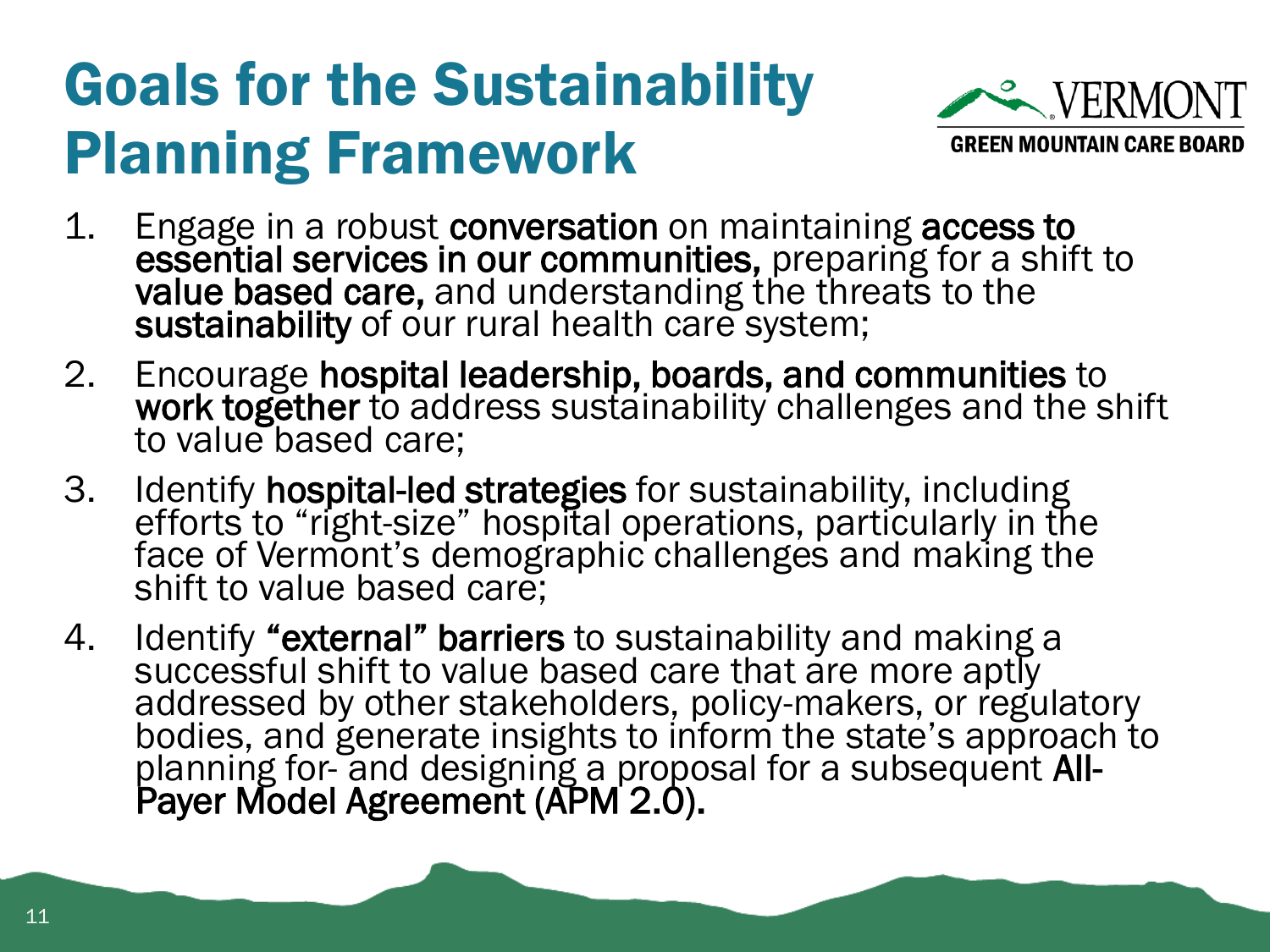#### Goals for the Sustainability Planning Framework



- 1. Engage in a robust conversation on maintaining access to essential services in our communities, preparing for a shift to value based care, and understanding the threats to the sustainability of our rural health care system;
- 2. Encourage hospital leadership, boards, and communities to work together to address sustainability challenges and the shift to value based care;
- 3. Identify hospital-led strategies for sustainability, including efforts to "right-size" hospital operations, particularly in the face of Vermont's demographic challenges and making the shift to value based care;
- 4. Identify "external" barriers to sustainability and making a successful shift to value based care that are more aptly addressed by other stakeholders, policy-makers, or regulatory bodies, and generate insights to inform the state's approach to planning for- and designing a proposal for a subsequent All-Payer Model Agreement (APM 2.0).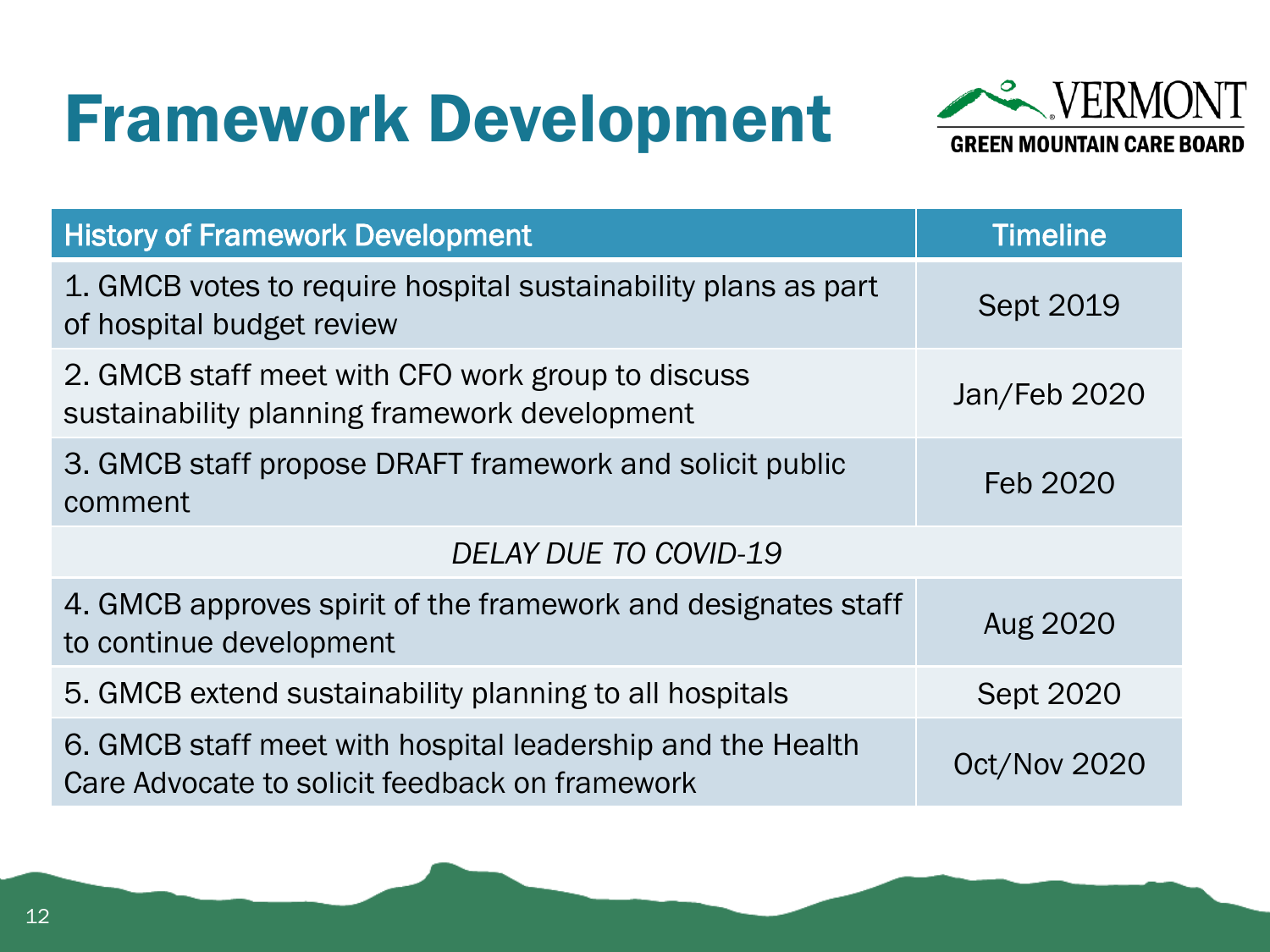#### Framework Development



| <b>History of Framework Development</b>                                                                      | <b>Timeline</b>  |
|--------------------------------------------------------------------------------------------------------------|------------------|
| 1. GMCB votes to require hospital sustainability plans as part<br>of hospital budget review                  | <b>Sept 2019</b> |
| 2. GMCB staff meet with CFO work group to discuss<br>sustainability planning framework development           | Jan/Feb 2020     |
| 3. GMCB staff propose DRAFT framework and solicit public<br>comment                                          | Feb 2020         |
| <b>DELAY DUE TO COVID-19</b>                                                                                 |                  |
| 4. GMCB approves spirit of the framework and designates staff<br>to continue development                     | Aug 2020         |
| 5. GMCB extend sustainability planning to all hospitals                                                      | <b>Sept 2020</b> |
| 6. GMCB staff meet with hospital leadership and the Health<br>Care Advocate to solicit feedback on framework | Oct/Nov 2020     |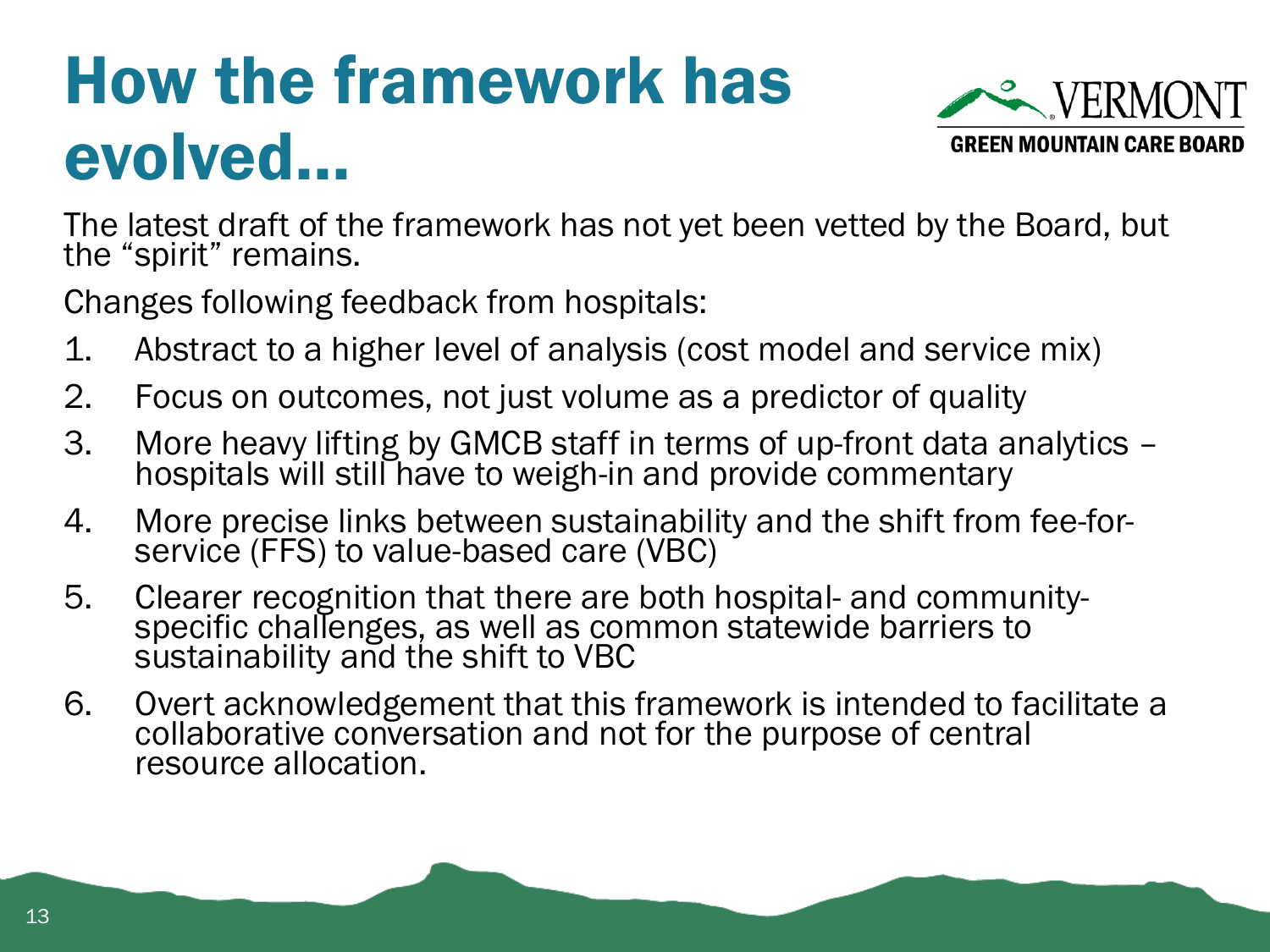### How the framework has evolved…



The latest draft of the framework has not yet been vetted by the Board, but the "spirit" remains.

Changes following feedback from hospitals:

- 1. Abstract to a higher level of analysis (cost model and service mix)
- 2. Focus on outcomes, not just volume as a predictor of quality
- 3. More heavy lifting by GMCB staff in terms of up-front data analytics hospitals will still have to weigh-in and provide commentary
- 4. More precise links between sustainability and the shift from fee-forservice (FFS) to value-based care (VBC)
- 5. Clearer recognition that there are both hospital- and communityspecific challenges, as well as common statewide barriers to sustainability and the shift to VBC
- 6. Overt acknowledgement that this framework is intended to facilitate a collaborative conversation and not for the purpose of central resource allocation.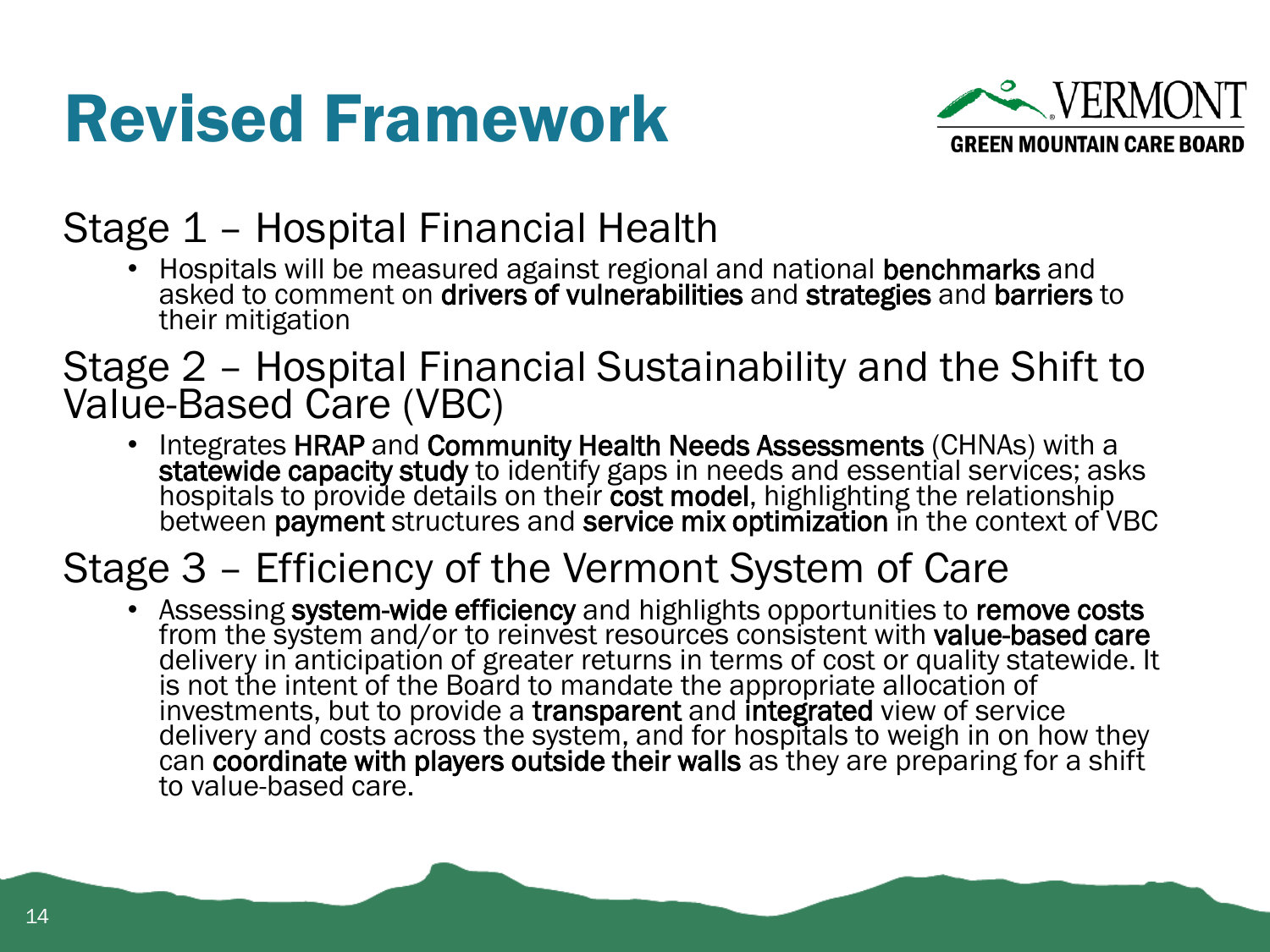#### Revised Framework



#### Stage 1 – Hospital Financial Health

• Hospitals will be measured against regional and national benchmarks and asked to comment on drivers of vulnerabilities and strategies and barriers to their mitigation

#### Stage 2 – Hospital Financial Sustainability and the Shift to Value-Based Care (VBC)

• Integrates HRAP and Community Health Needs Assessments (CHNAs) with a statewide capacity study to identify gaps in needs and essential services; asks hospitals to provide details on their cost model, highlighting the relationship between payment structures and service mix optimization in the context of VBC

#### Stage 3 – Efficiency of the Vermont System of Care

• Assessing system-wide efficiency and highlights opportunities to remove costs from the system and/or to reinvest resources consistent with value-based care delivery in anticipation of greater returns in terms of cost or quality statewide. It is not the intent of the Board to mandate the appropriate allocation of investments, but to provide a transparent and integrated view of service delivery and costs across the system, and for hospitals to weigh in on how they can coordinate with players outside their walls as they are preparing for a shift to value-based care.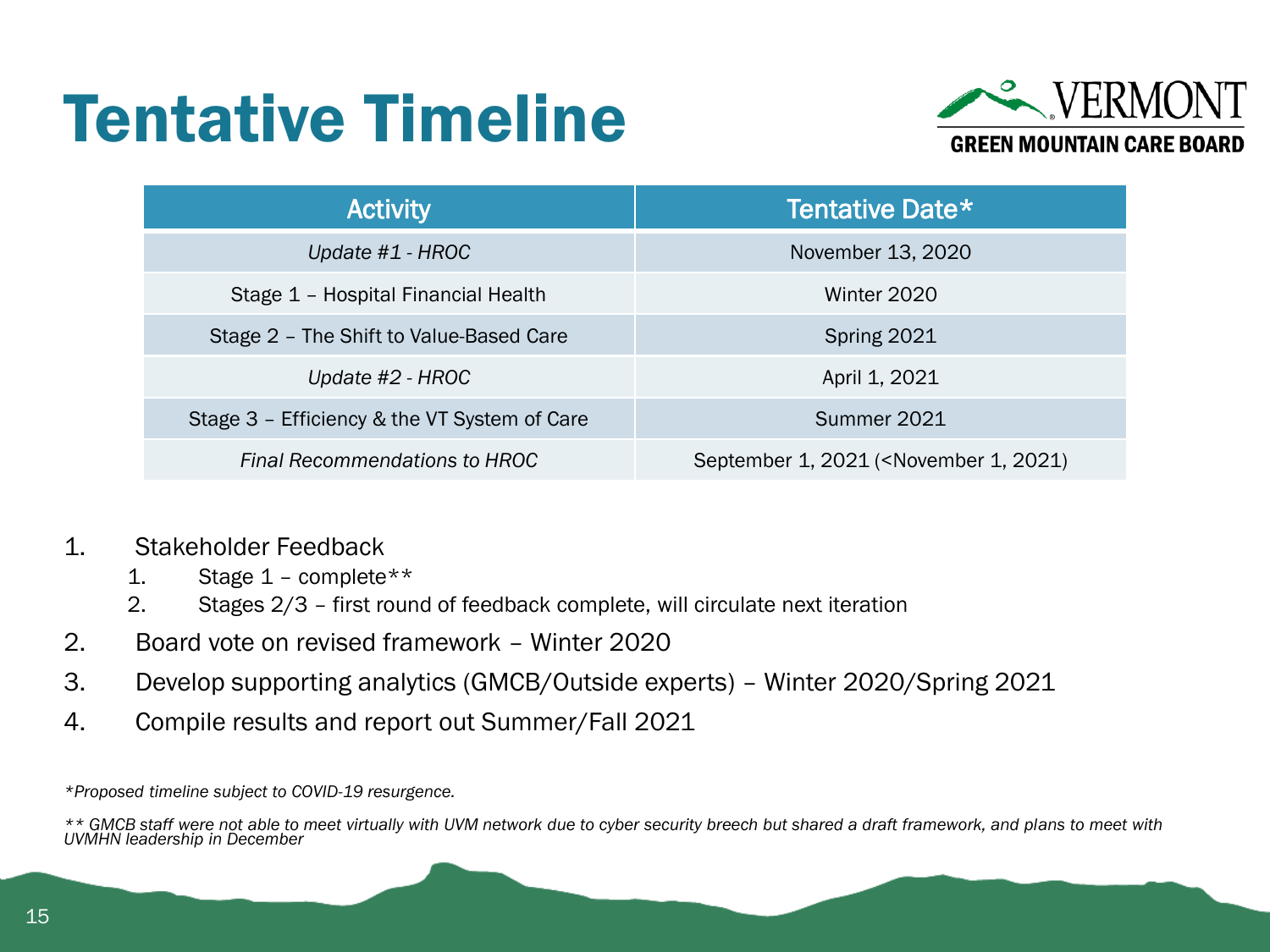#### Tentative Timeline



| <b>Activity</b>                              | Tentative Date*                                                 |
|----------------------------------------------|-----------------------------------------------------------------|
| Update $#1$ - HROC                           | November 13, 2020                                               |
| Stage 1 - Hospital Financial Health          | Winter 2020                                                     |
| Stage 2 - The Shift to Value-Based Care      | Spring 2021                                                     |
| Update #2 - HROC                             | April 1, 2021                                                   |
| Stage 3 - Efficiency & the VT System of Care | Summer 2021                                                     |
| Final Recommendations to HROC                | September 1, 2021 ( <november 1,="" 2021)<="" td=""></november> |

- 1. Stakeholder Feedback
	- 1. Stage  $1$  complete \*\*
	- 2. Stages 2/3 first round of feedback complete, will circulate next iteration
- 2. Board vote on revised framework Winter 2020
- 3. Develop supporting analytics (GMCB/Outside experts) Winter 2020/Spring 2021
- 4. Compile results and report out Summer/Fall 2021

*\*Proposed timeline subject to COVID-19 resurgence.*

*<sup>\*\*</sup> GMCB staff were not able to meet virtually with UVM network due to cyber security breech but shared a draft framework, and plans to meet with UVMHN leadership in December*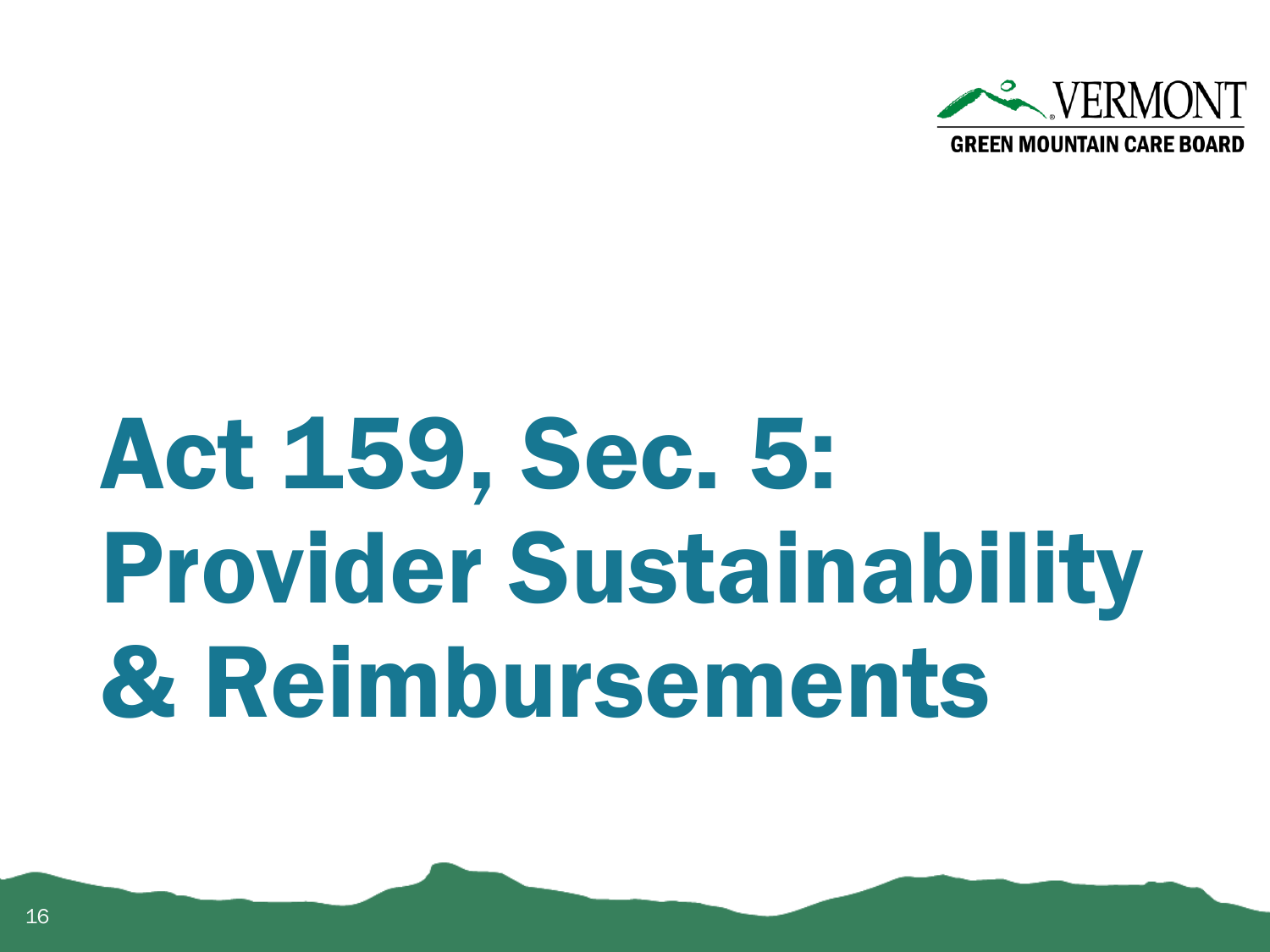

# Act 159, Sec. 5: Provider Sustainability & Reimbursements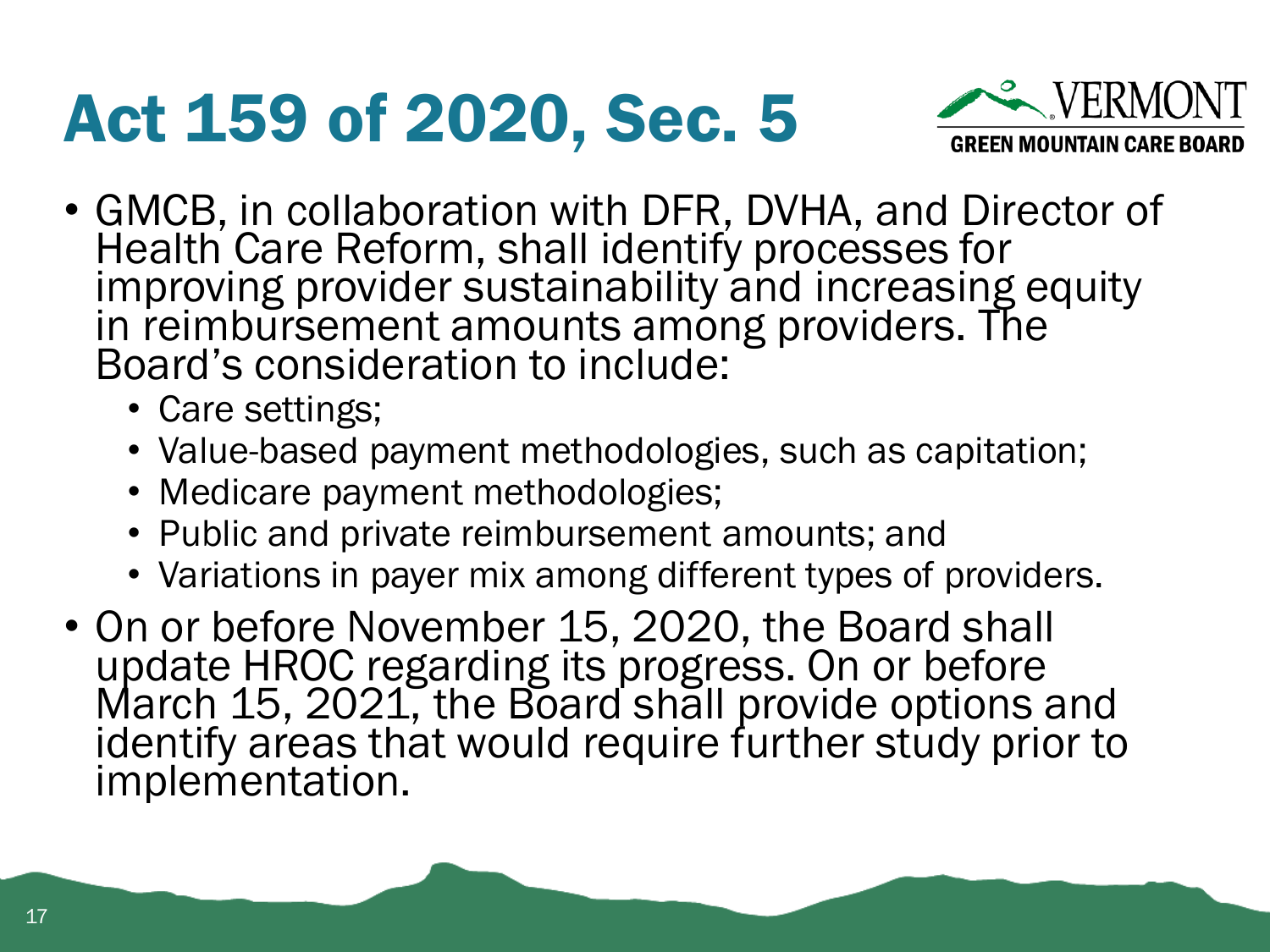#### Act 159 of 2020, Sec. 5



- GMCB, in collaboration with DFR, DVHA, and Director of Health Care Reform, shall identify processes for improving provider sustainability and increasing equity in reimbursement amounts among providers. The Board's consideration to include:
	- Care settings;
	- Value-based payment methodologies, such as capitation;
	- Medicare payment methodologies;
	- Public and private reimbursement amounts; and
	- Variations in payer mix among different types of providers.
- On or before November 15, 2020, the Board shall update HROC regarding its progress. On or before March 15, 2021, the Board shall provide options and identify areas that would require further study prior to implementation.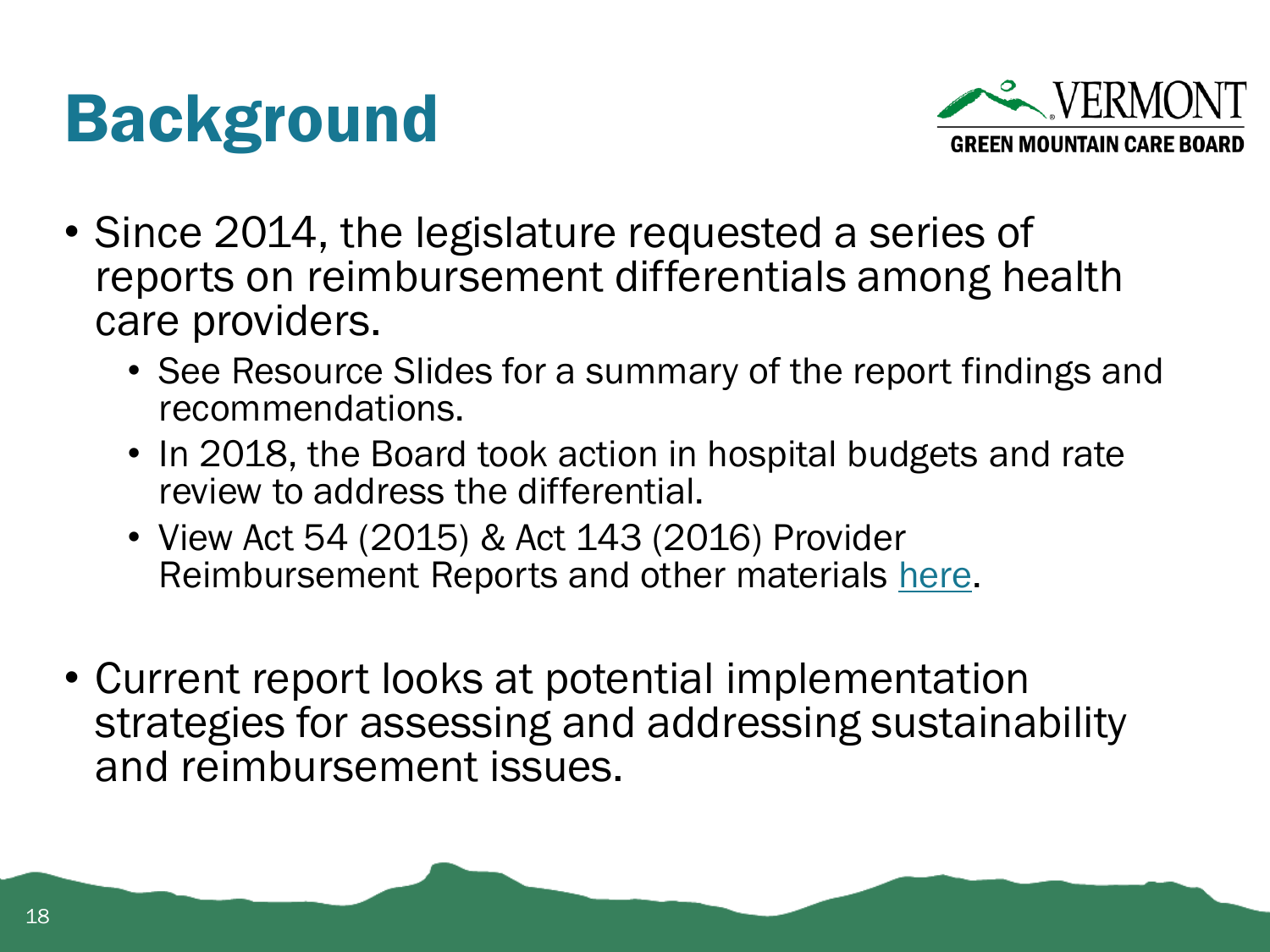#### Background



- Since 2014, the legislature requested a series of reports on reimbursement differentials among health care providers.
	- See Resource Slides for a summary of the report findings and recommendations.
	- In 2018, the Board took action in hospital budgets and rate review to address the differential.
	- View Act 54 (2015) & Act 143 (2016) Provider Reimbursement Reports and other materials [here](https://gmcboard.vermont.gov/publications/legislative-reports/provider-reimbursement-reports).
- Current report looks at potential implementation strategies for assessing and addressing sustainability and reimbursement issues.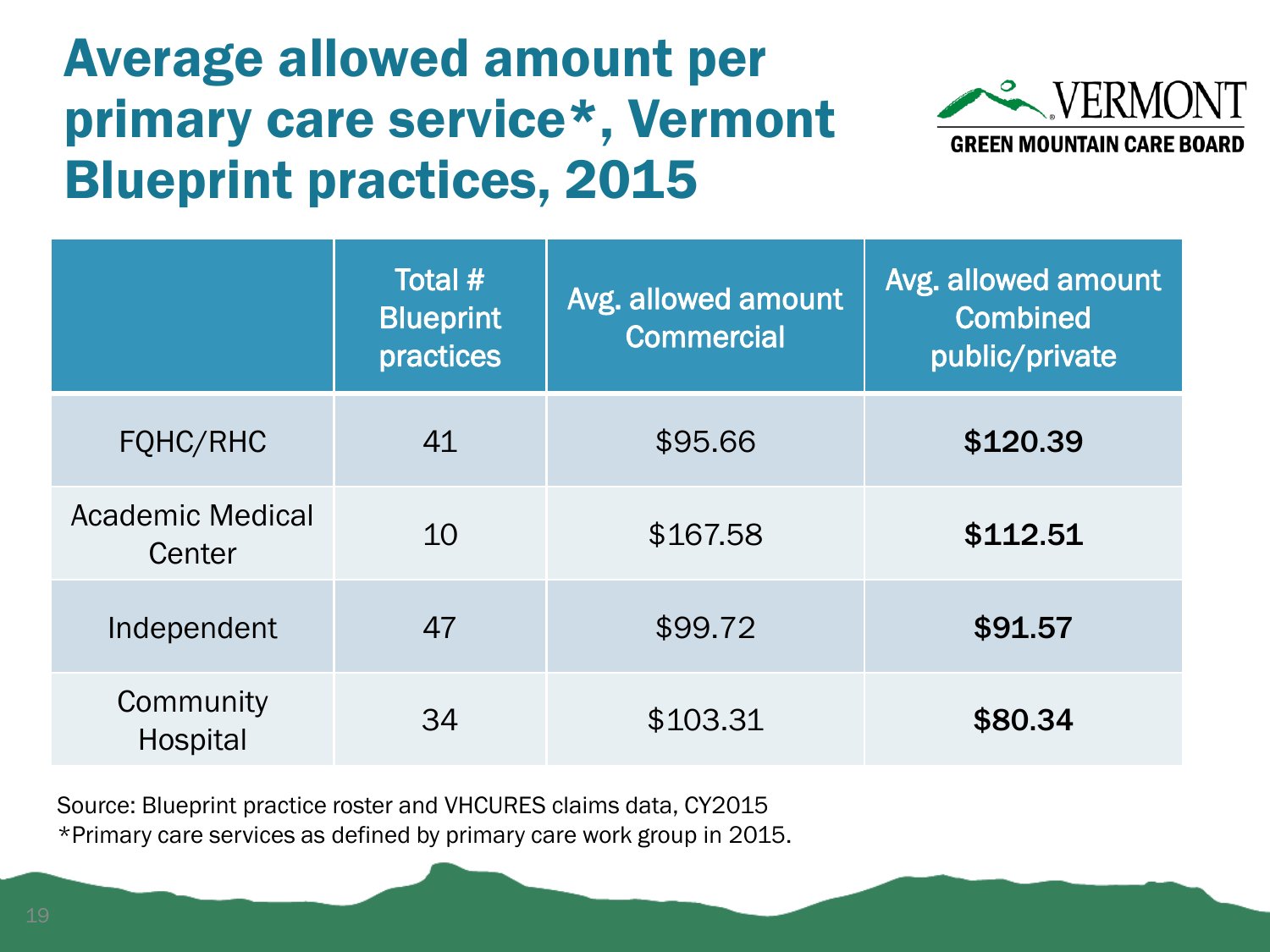#### Average allowed amount per primary care service\*, Vermont Blueprint practices, 2015



|                            | Total #<br><b>Blueprint</b><br>practices | Avg. allowed amount<br>Commercial | Avg. allowed amount<br><b>Combined</b><br>public/private |
|----------------------------|------------------------------------------|-----------------------------------|----------------------------------------------------------|
| FQHC/RHC                   | 41                                       | \$95.66                           | \$120.39                                                 |
| Academic Medical<br>Center | 10                                       | \$167.58                          | \$112.51                                                 |
| Independent                | 47                                       | \$99.72                           | \$91.57                                                  |
| Community<br>Hospital      | 34                                       | \$103.31                          | \$80.34                                                  |

Source: Blueprint practice roster and VHCURES claims data, CY2015 \*Primary care services as defined by primary care work group in 2015.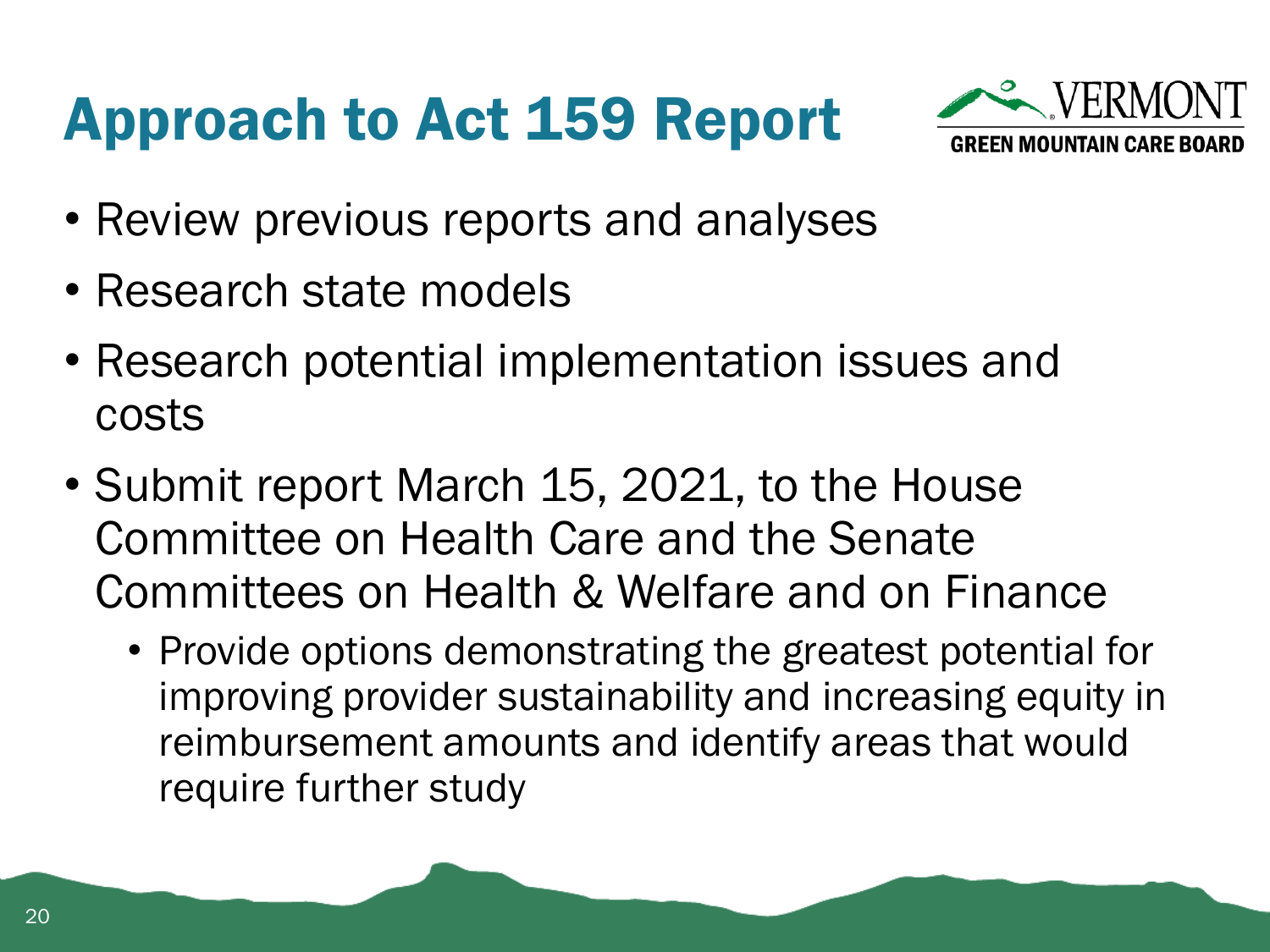#### Approach to Act 159 Report



- Review previous reports and analyses
- Research state models
- Research potential implementation issues and costs
- Submit report March 15, 2021, to the House Committee on Health Care and the Senate Committees on Health & Welfare and on Finance
	- Provide options demonstrating the greatest potential for improving provider sustainability and increasing equity in reimbursement amounts and identify areas that would require further study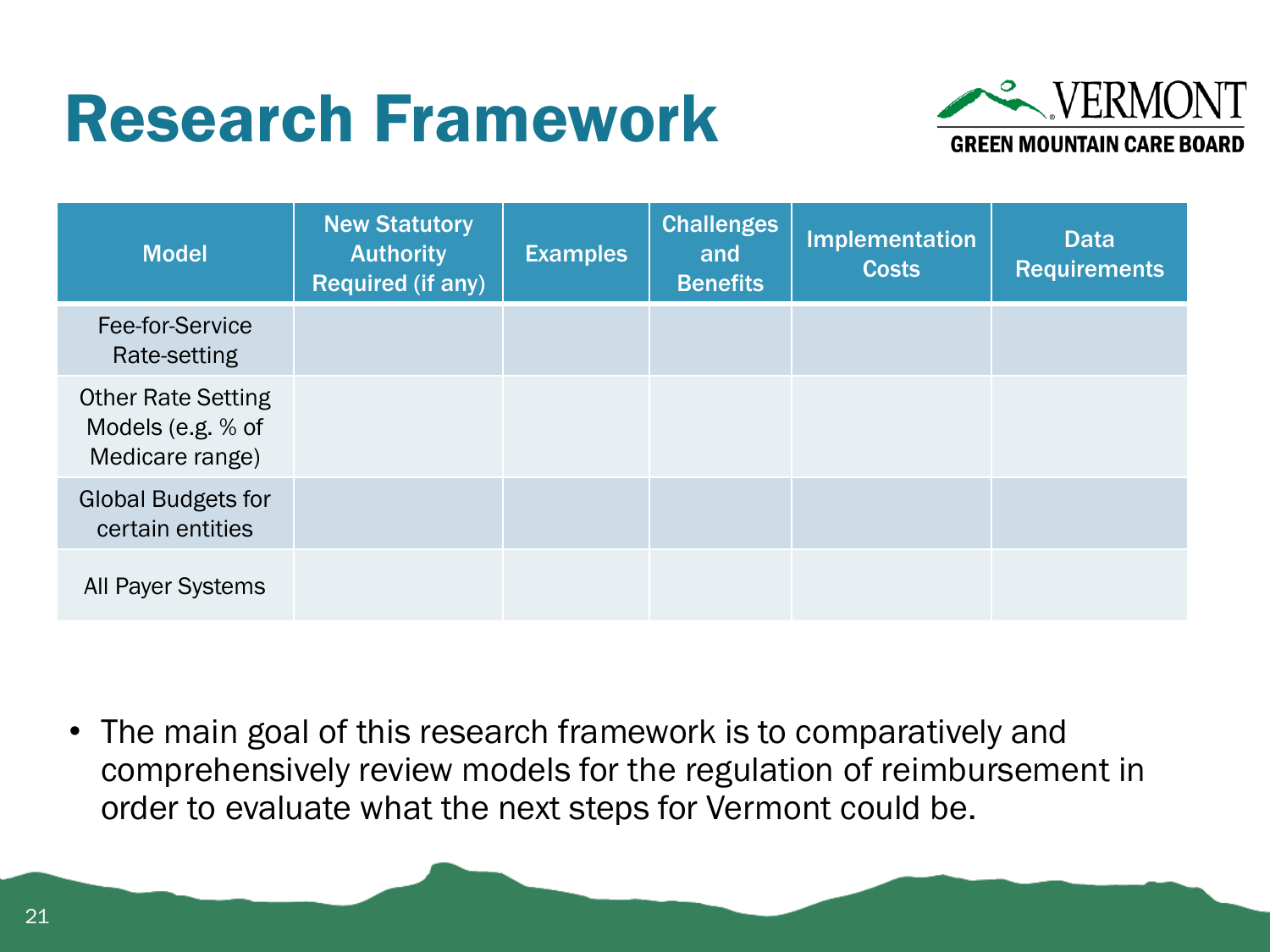#### Research Framework



| <b>Model</b>                                                      | <b>New Statutory</b><br><b>Authority</b><br>Required (if any) | <b>Examples</b> | <b>Challenges</b><br>and<br><b>Benefits</b> | <b>Implementation</b><br><b>Costs</b> | <b>Data</b><br><b>Requirements</b> |
|-------------------------------------------------------------------|---------------------------------------------------------------|-----------------|---------------------------------------------|---------------------------------------|------------------------------------|
| Fee-for-Service<br>Rate-setting                                   |                                                               |                 |                                             |                                       |                                    |
| <b>Other Rate Setting</b><br>Models (e.g. % of<br>Medicare range) |                                                               |                 |                                             |                                       |                                    |
| <b>Global Budgets for</b><br>certain entities                     |                                                               |                 |                                             |                                       |                                    |
| <b>All Payer Systems</b>                                          |                                                               |                 |                                             |                                       |                                    |

• The main goal of this research framework is to comparatively and comprehensively review models for the regulation of reimbursement in order to evaluate what the next steps for Vermont could be.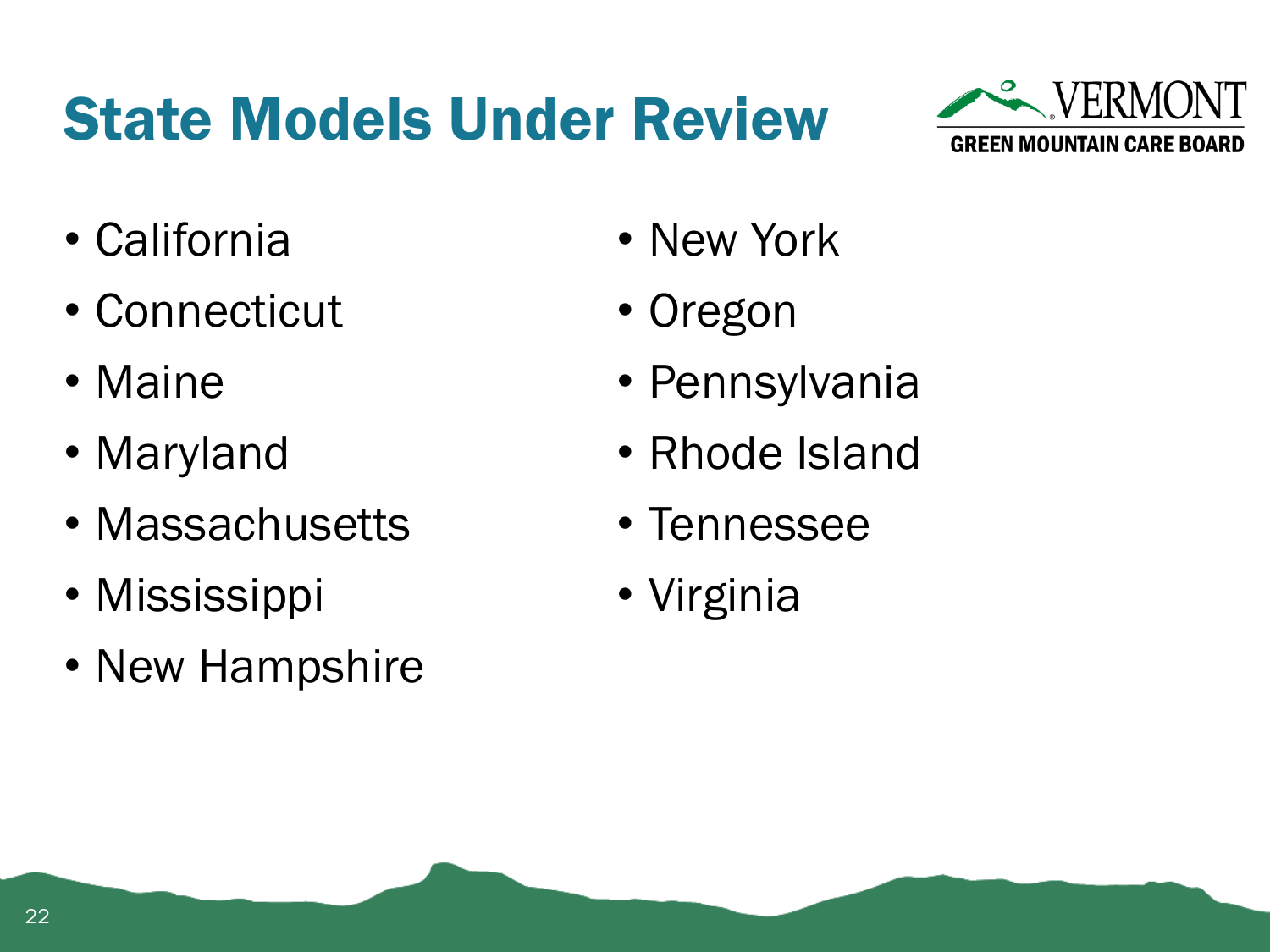#### State Models Under Review



- California
- Connecticut
- Maine
- Maryland
- Massachusetts
- Mississippi
- New Hampshire
- New York
- Oregon
- Pennsylvania
- Rhode Island
- Tennessee
- Virginia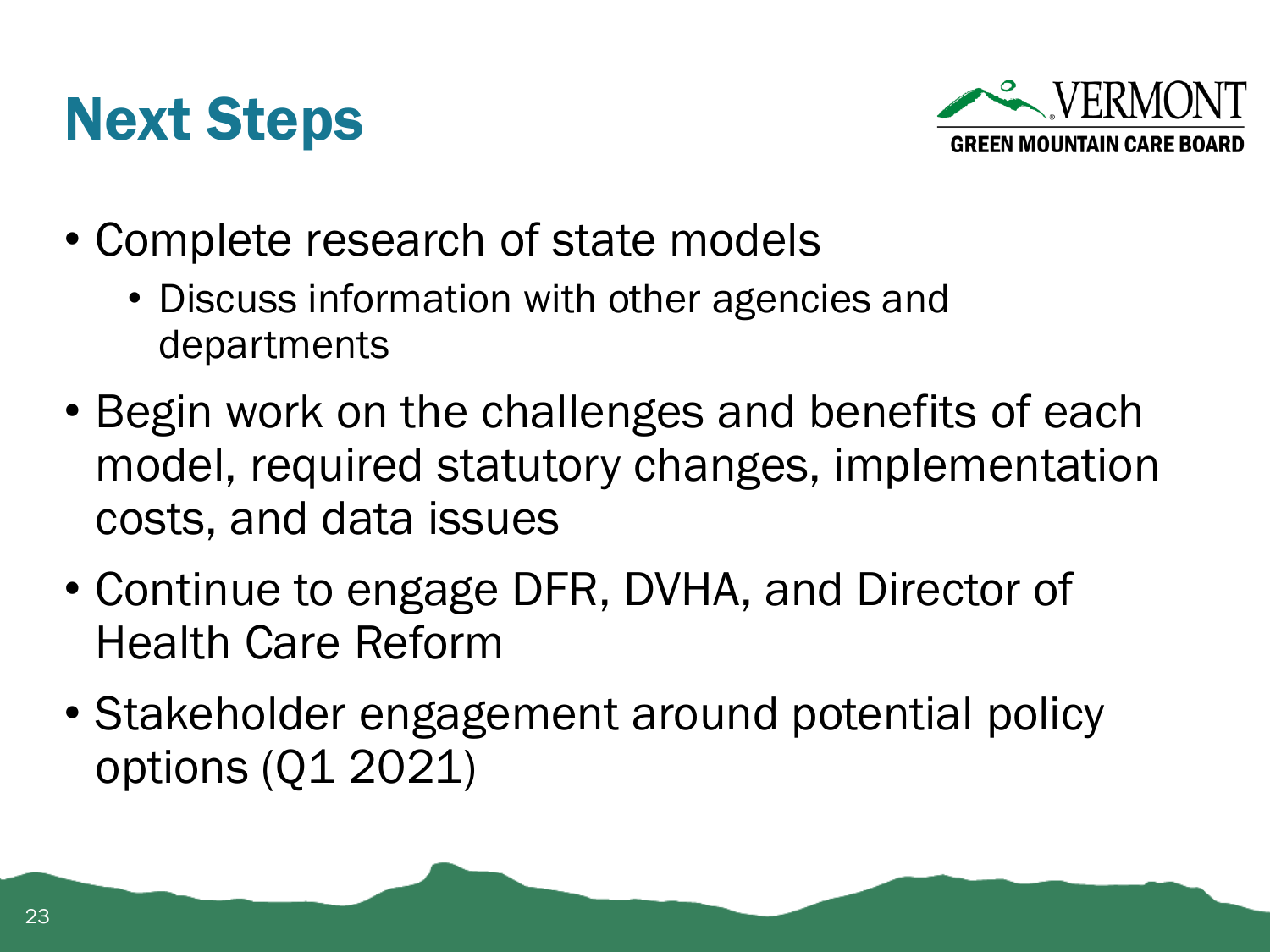



- Complete research of state models
	- Discuss information with other agencies and departments
- Begin work on the challenges and benefits of each model, required statutory changes, implementation costs, and data issues
- Continue to engage DFR, DVHA, and Director of Health Care Reform
- Stakeholder engagement around potential policy options (Q1 2021)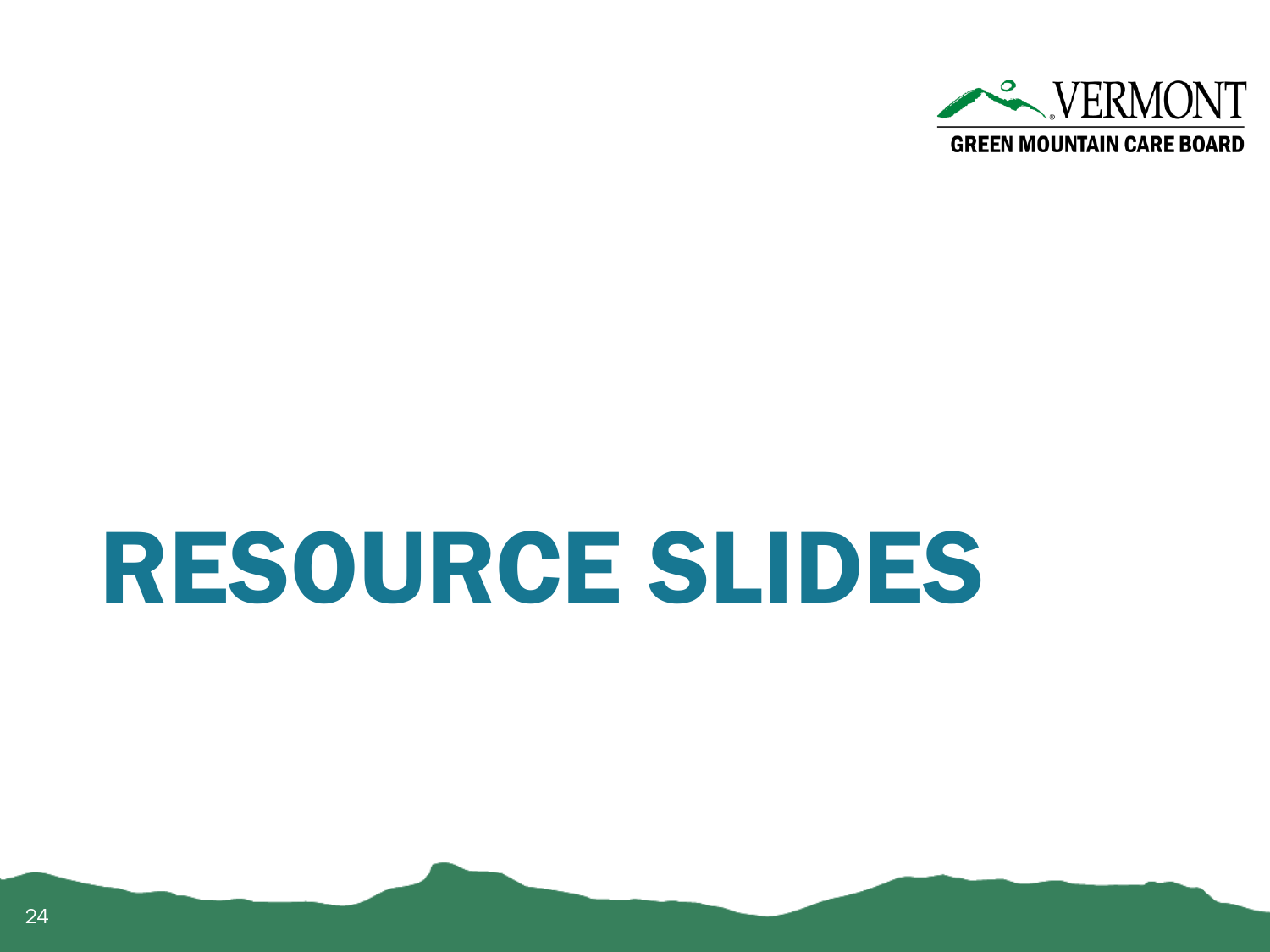

## RESOURCE SLIDES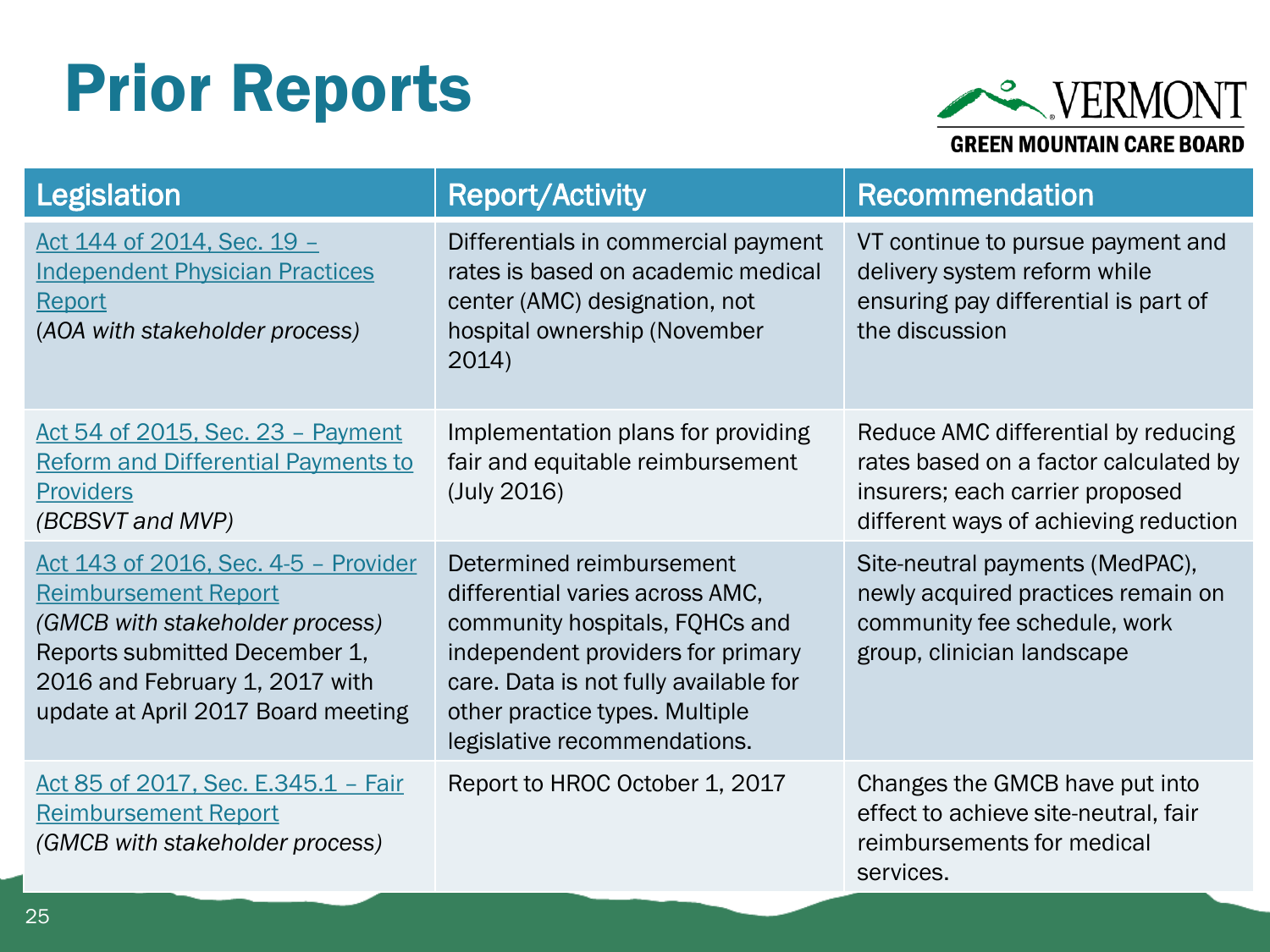#### Prior Reports



| <b>Legislation</b>                                                                                                                                                                                              | <b>Report/Activity</b>                                                                                                                                                                                                                        | <b>Recommendation</b>                                                                                                                                    |
|-----------------------------------------------------------------------------------------------------------------------------------------------------------------------------------------------------------------|-----------------------------------------------------------------------------------------------------------------------------------------------------------------------------------------------------------------------------------------------|----------------------------------------------------------------------------------------------------------------------------------------------------------|
| Act 144 of 2014, Sec. 19 -<br><b>Independent Physician Practices</b><br>Report<br>(AOA with stakeholder process)                                                                                                | Differentials in commercial payment<br>rates is based on academic medical<br>center (AMC) designation, not<br>hospital ownership (November<br>2014)                                                                                           | VT continue to pursue payment and<br>delivery system reform while<br>ensuring pay differential is part of<br>the discussion                              |
| Act 54 of 2015, Sec. 23 - Payment<br>Reform and Differential Payments to<br><b>Providers</b><br>(BCBSVT and MVP)                                                                                                | Implementation plans for providing<br>fair and equitable reimbursement<br>(July 2016)                                                                                                                                                         | Reduce AMC differential by reducing<br>rates based on a factor calculated by<br>insurers; each carrier proposed<br>different ways of achieving reduction |
| Act 143 of 2016, Sec. 4-5 - Provider<br><b>Reimbursement Report</b><br>(GMCB with stakeholder process)<br>Reports submitted December 1,<br>2016 and February 1, 2017 with<br>update at April 2017 Board meeting | Determined reimbursement<br>differential varies across AMC,<br>community hospitals, FQHCs and<br>independent providers for primary<br>care. Data is not fully available for<br>other practice types. Multiple<br>legislative recommendations. | Site-neutral payments (MedPAC),<br>newly acquired practices remain on<br>community fee schedule, work<br>group, clinician landscape                      |
| Act 85 of 2017, Sec. E.345.1 - Fair<br>Reimbursement Report<br>(GMCB with stakeholder process)                                                                                                                  | Report to HROC October 1, 2017                                                                                                                                                                                                                | Changes the GMCB have put into<br>effect to achieve site-neutral, fair<br>reimbursements for medical<br>services.                                        |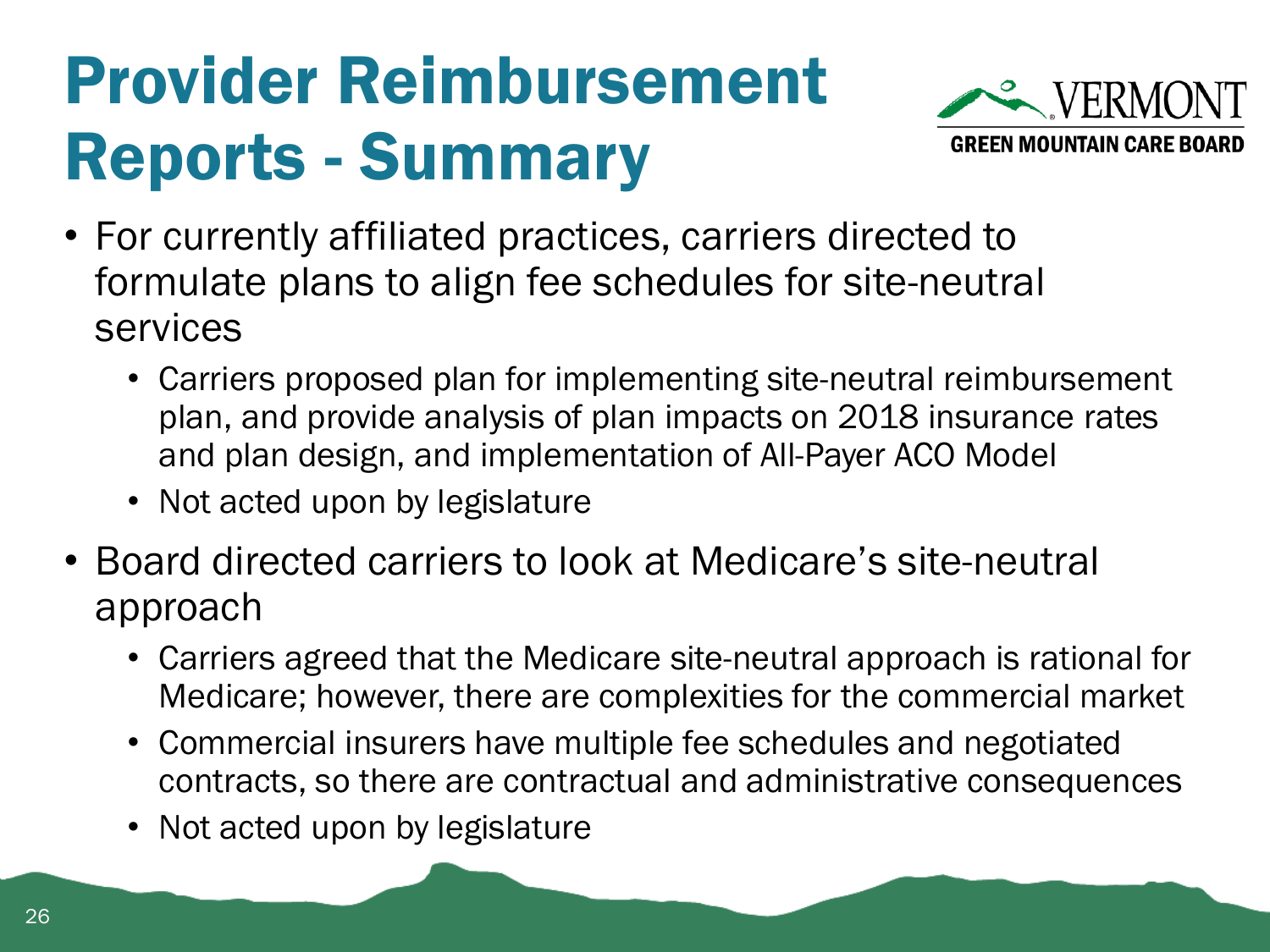### Provider Reimbursement Reports - Summary



- For currently affiliated practices, carriers directed to formulate plans to align fee schedules for site-neutral services
	- Carriers proposed plan for implementing site-neutral reimbursement plan, and provide analysis of plan impacts on 2018 insurance rates and plan design, and implementation of All-Payer ACO Model
	- Not acted upon by legislature
- Board directed carriers to look at Medicare's site-neutral approach
	- Carriers agreed that the Medicare site-neutral approach is rational for Medicare; however, there are complexities for the commercial market
	- Commercial insurers have multiple fee schedules and negotiated contracts, so there are contractual and administrative consequences
	- Not acted upon by legislature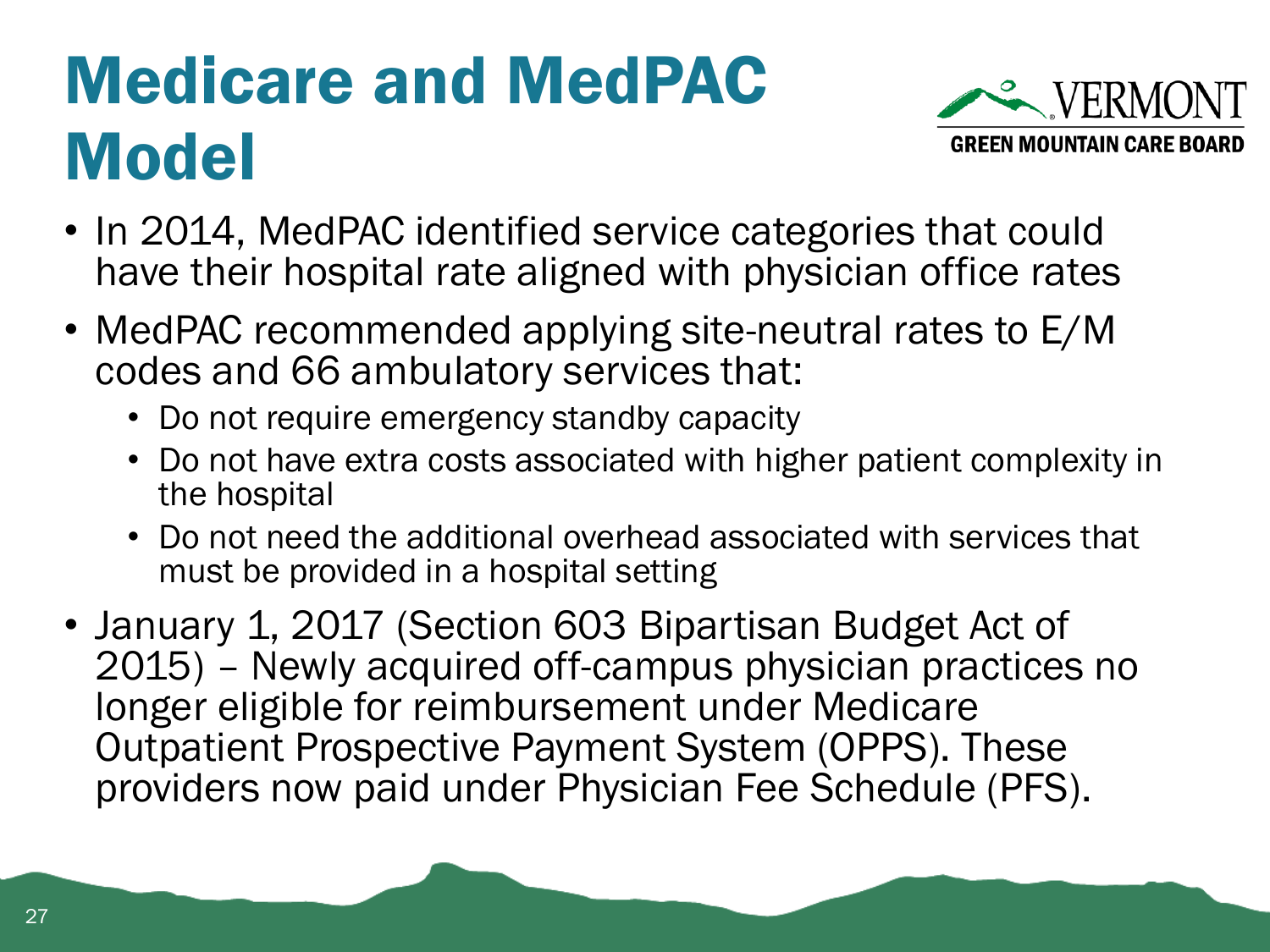#### Medicare and MedPAC **Model**



- In 2014, MedPAC identified service categories that could have their hospital rate aligned with physician office rates
- MedPAC recommended applying site-neutral rates to E/M codes and 66 ambulatory services that:
	- Do not require emergency standby capacity
	- Do not have extra costs associated with higher patient complexity in the hospital
	- Do not need the additional overhead associated with services that must be provided in a hospital setting
- January 1, 2017 (Section 603 Bipartisan Budget Act of 2015) – Newly acquired off-campus physician practices no longer eligible for reimbursement under Medicare Outpatient Prospective Payment System (OPPS). These providers now paid under Physician Fee Schedule (PFS).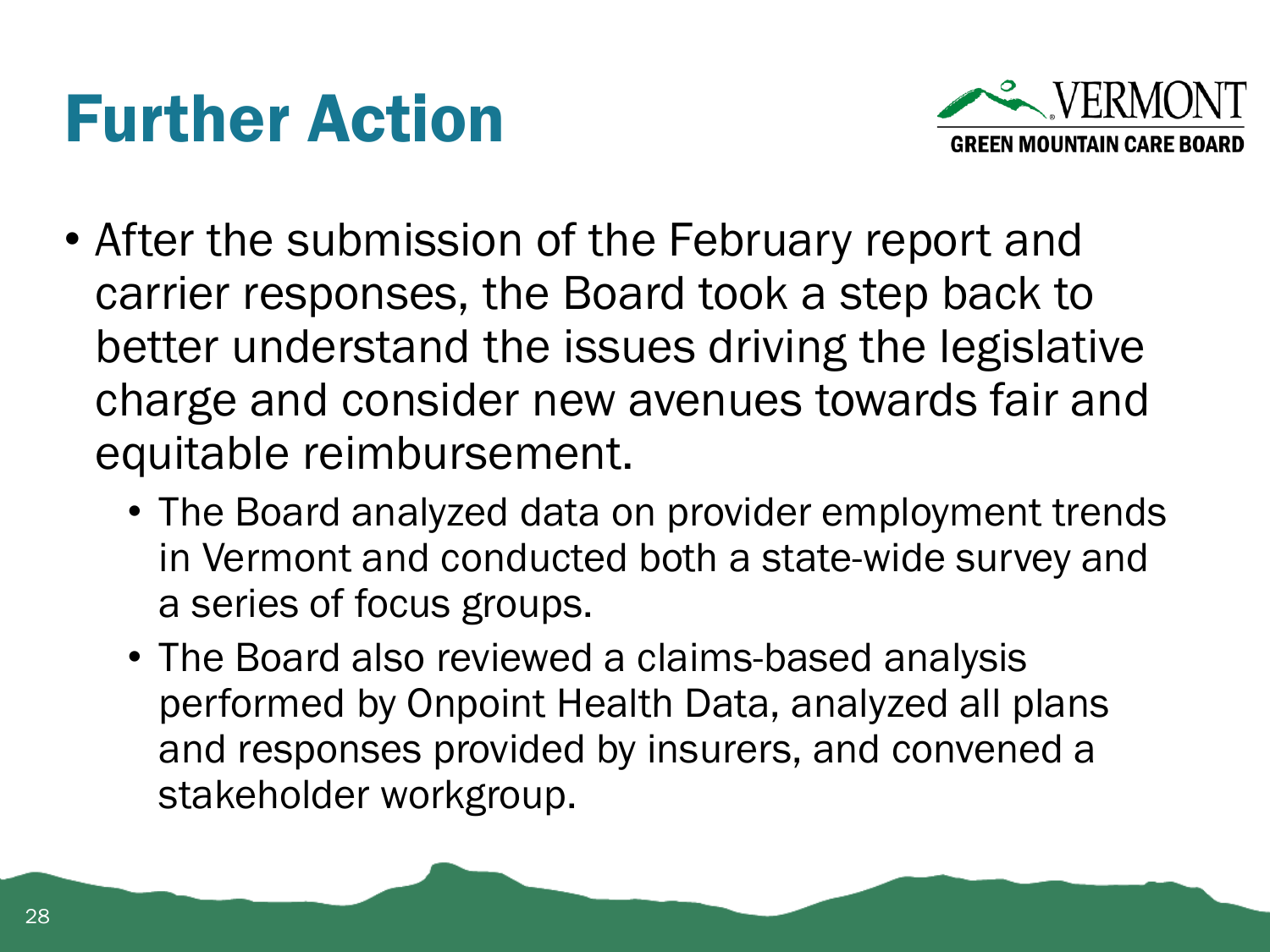#### Further Action



- After the submission of the February report and carrier responses, the Board took a step back to better understand the issues driving the legislative charge and consider new avenues towards fair and equitable reimbursement.
	- The Board analyzed data on provider employment trends in Vermont and conducted both a state-wide survey and a series of focus groups.
	- The Board also reviewed a claims-based analysis performed by Onpoint Health Data, analyzed all plans and responses provided by insurers, and convened a stakeholder workgroup.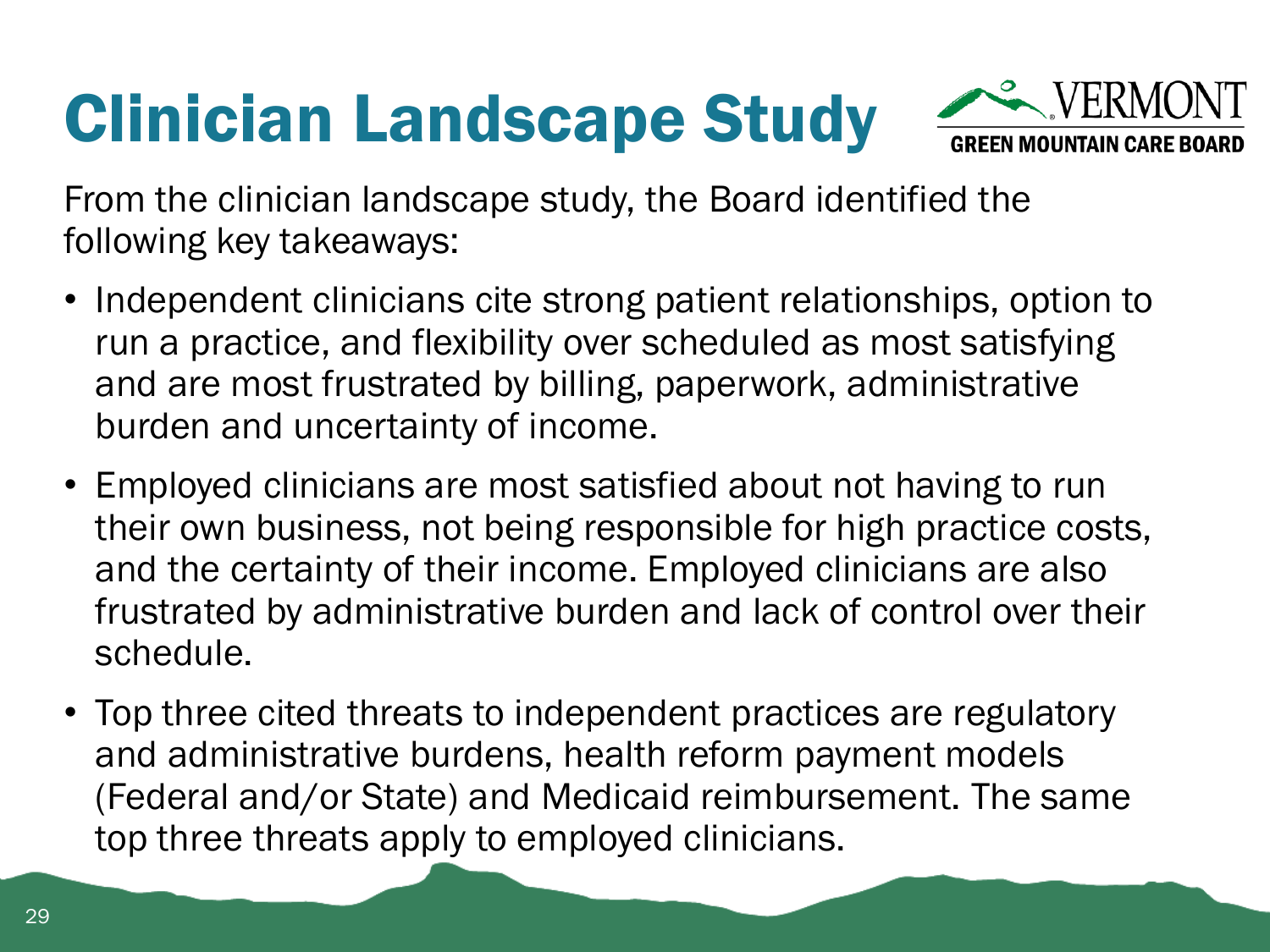#### Clinician Landscape Study



From the clinician landscape study, the Board identified the following key takeaways:

- Independent clinicians cite strong patient relationships, option to run a practice, and flexibility over scheduled as most satisfying and are most frustrated by billing, paperwork, administrative burden and uncertainty of income.
- Employed clinicians are most satisfied about not having to run their own business, not being responsible for high practice costs, and the certainty of their income. Employed clinicians are also frustrated by administrative burden and lack of control over their schedule.
- Top three cited threats to independent practices are regulatory and administrative burdens, health reform payment models (Federal and/or State) and Medicaid reimbursement. The same top three threats apply to employed clinicians.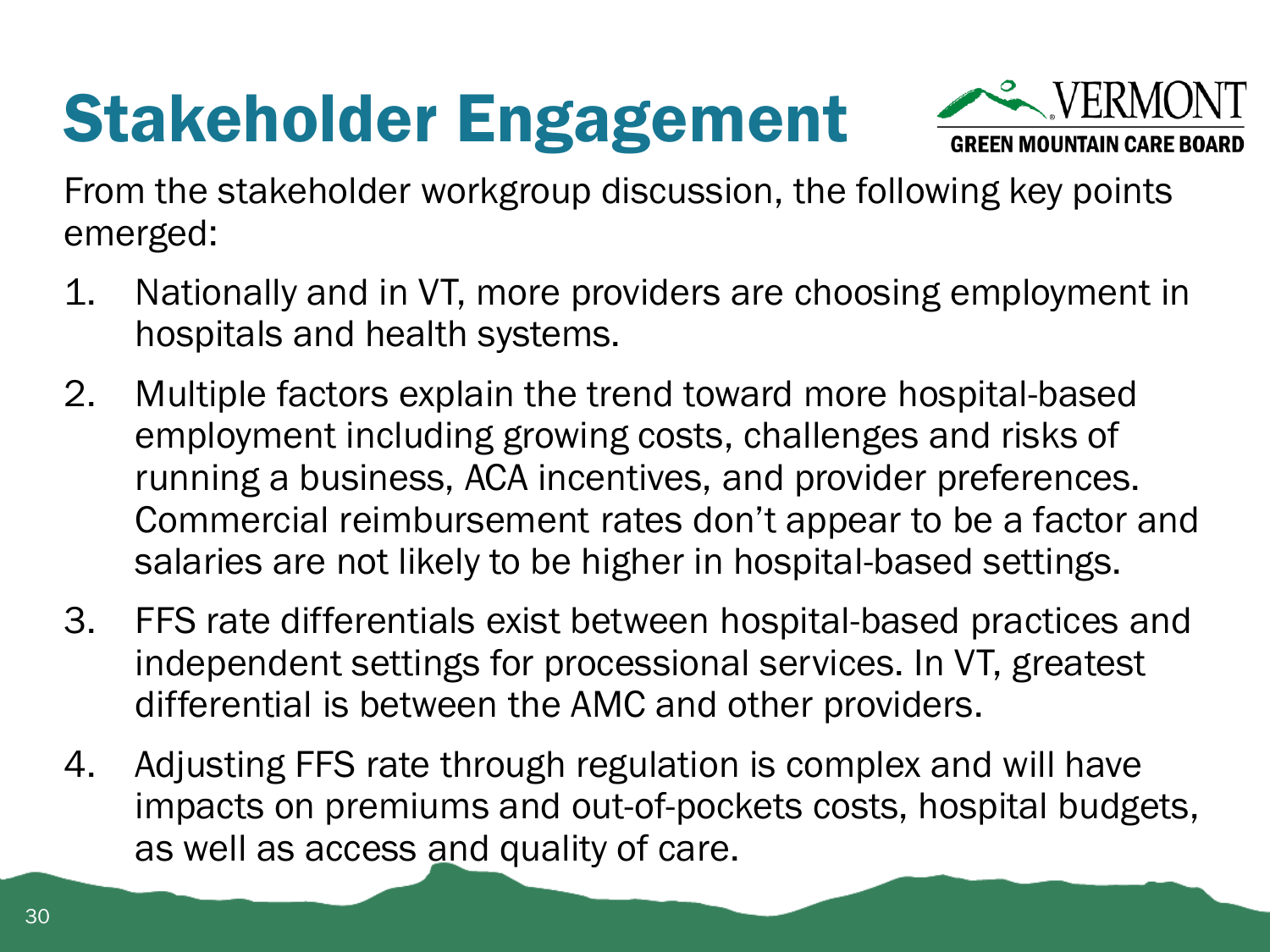### Stakeholder Engagement



From the stakeholder workgroup discussion, the following key points emerged:

- 1. Nationally and in VT, more providers are choosing employment in hospitals and health systems.
- 2. Multiple factors explain the trend toward more hospital-based employment including growing costs, challenges and risks of running a business, ACA incentives, and provider preferences. Commercial reimbursement rates don't appear to be a factor and salaries are not likely to be higher in hospital-based settings.
- 3. FFS rate differentials exist between hospital-based practices and independent settings for processional services. In VT, greatest differential is between the AMC and other providers.
- 4. Adjusting FFS rate through regulation is complex and will have impacts on premiums and out-of-pockets costs, hospital budgets, as well as access and quality of care.